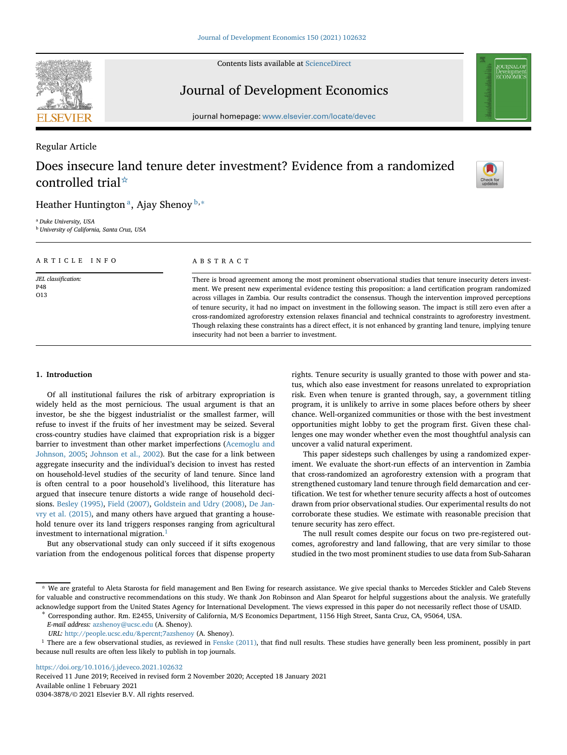Contents lists available at [ScienceDirect](http://www.sciencedirect.com/science/journal/)



# Journal of Development Economics

journal homepage: [www.elsevier.com/locate/devec](http://www.elsevier.com/locate/devec)

# Regular Article

# Does insecure land tenure deter investment? Evidence from a randomized controlled trial[☆](#page-0-0)



# Heather Huntington<sup>a</sup>, Ajay Shenoy  $b,*$  $b,*$

<span id="page-0-2"></span><span id="page-0-1"></span><sup>a</sup> *Duke University, USA* <sup>b</sup> *University of California, Santa Cruz, USA*

| ARTICLE INFO                      | A B S T R A C T                                                                                                                                                                                                                                                                                                                                                                                                                                                                                                                                                                                                                                                                                                                                                  |
|-----------------------------------|------------------------------------------------------------------------------------------------------------------------------------------------------------------------------------------------------------------------------------------------------------------------------------------------------------------------------------------------------------------------------------------------------------------------------------------------------------------------------------------------------------------------------------------------------------------------------------------------------------------------------------------------------------------------------------------------------------------------------------------------------------------|
| JEL classification:<br>P48<br>O13 | There is broad agreement among the most prominent observational studies that tenure insecurity deters invest-<br>ment. We present new experimental evidence testing this proposition: a land certification program randomized<br>across villages in Zambia. Our results contradict the consensus. Though the intervention improved perceptions<br>of tenure security, it had no impact on investment in the following season. The impact is still zero even after a<br>cross-randomized agroforestry extension relaxes financial and technical constraints to agroforestry investment.<br>Though relaxing these constraints has a direct effect, it is not enhanced by granting land tenure, implying tenure<br>insecurity had not been a barrier to investment. |

# **1. Introduction**

Of all institutional failures the risk of arbitrary expropriation is widely held as the most pernicious. The usual argument is that an investor, be she the biggest industrialist or the smallest farmer, will refuse to invest if the fruits of her investment may be seized. Several cross-country studies have claimed that expropriation risk is a bigger [barrier to investment than other market imperfections \(Acemoglu and](#page-14-0) Johnson, 2005; [Johnson et al., 2002\)](#page-14-1). But the case for a link between aggregate insecurity and the individual's decision to invest has rested on household-level studies of the security of land tenure. Since land is often central to a poor household's livelihood, this literature has argued that insecure tenure distorts a wide range of household decisions. [Besley \(1995\),](#page-14-2) [Field \(2007\),](#page-14-3) [Goldstein and Udry \(2008\),](#page-14-4) De Jan[vry et al. \(2015\), and many others have argued that granting a house](#page-14-5)hold tenure over its land triggers responses ranging from agricultural investment to international migration.<sup>[1](#page-0-4)</sup>

But any observational study can only succeed if it sifts exogenous variation from the endogenous political forces that dispense property

rights. Tenure security is usually granted to those with power and status, which also ease investment for reasons unrelated to expropriation risk. Even when tenure is granted through, say, a government titling program, it is unlikely to arrive in some places before others by sheer chance. Well-organized communities or those with the best investment opportunities might lobby to get the program first. Given these challenges one may wonder whether even the most thoughtful analysis can uncover a valid natural experiment.

This paper sidesteps such challenges by using a randomized experiment. We evaluate the short-run effects of an intervention in Zambia that cross-randomized an agroforestry extension with a program that strengthened customary land tenure through field demarcation and certification. We test for whether tenure security affects a host of outcomes drawn from prior observational studies. Our experimental results do not corroborate these studies. We estimate with reasonable precision that tenure security has zero effect.

The null result comes despite our focus on two pre-registered outcomes, agroforestry and land fallowing, that are very similar to those studied in the two most prominent studies to use data from Sub-Saharan

<span id="page-0-3"></span>

*E-mail address:* [azshenoy@ucsc.edu](mailto:azshenoy@ucsc.edu) (A. Shenoy).

<https://doi.org/10.1016/j.jdeveco.2021.102632>

Received 11 June 2019; Received in revised form 2 November 2020; Accepted 18 January 2021 Available online 1 February 2021 0304-3878/© 2021 Elsevier B.V. All rights reserved.

<span id="page-0-0"></span>We are grateful to Aleta Starosta for field management and Ben Ewing for research assistance. We give special thanks to Mercedes Stickler and Caleb Stevens for valuable and constructive recommendations on this study. We thank Jon Robinson and Alan Spearot for helpful suggestions about the analysis. We gratefully acknowledge support from the United States Agency for International Development. The views expressed in this paper do not necessarily reflect those of USAID.<br>\* Corresponding author. Rm. E2455, University of California, M/S

<span id="page-0-4"></span>URL: [http://people.ucsc.edu/%7azshenoy](mailto:http://people.ucsc.edu/%7azshenoy) (A. Shenoy).

<sup>&</sup>lt;sup>1</sup> There are a few observational studies, as reviewed in [Fenske \(2011\),](#page-14-6) that find null results. These studies have generally been less prominent, possibly in part because null results are often less likely to publish in top journals.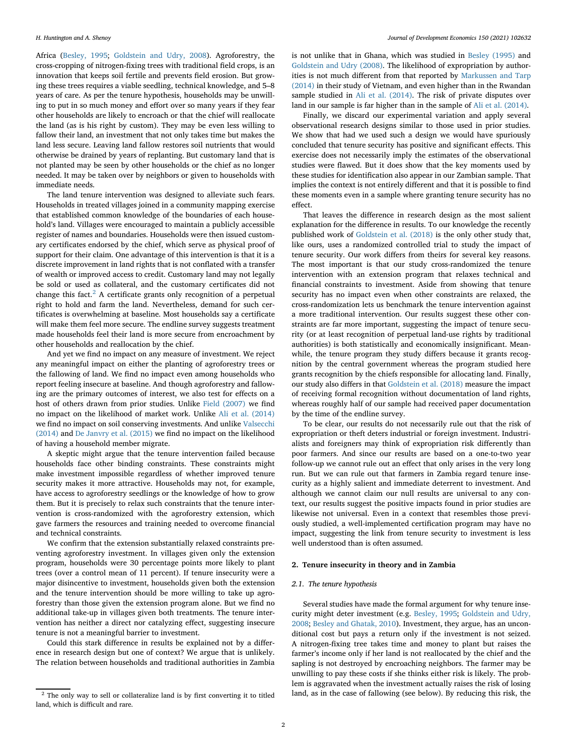Africa [\(Besley, 1995;](#page-14-2) [Goldstein and Udry, 2008\)](#page-14-4). Agroforestry, the cross-cropping of nitrogen-fixing trees with traditional field crops, is an innovation that keeps soil fertile and prevents field erosion. But growing these trees requires a viable seedling, technical knowledge, and 5–8 years of care. As per the tenure hypothesis, households may be unwilling to put in so much money and effort over so many years if they fear other households are likely to encroach or that the chief will reallocate the land (as is his right by custom). They may be even less willing to fallow their land, an investment that not only takes time but makes the land less secure. Leaving land fallow restores soil nutrients that would otherwise be drained by years of replanting. But customary land that is not planted may be seen by other households or the chief as no longer needed. It may be taken over by neighbors or given to households with immediate needs.

The land tenure intervention was designed to alleviate such fears. Households in treated villages joined in a community mapping exercise that established common knowledge of the boundaries of each household's land. Villages were encouraged to maintain a publicly accessible register of names and boundaries. Households were then issued customary certificates endorsed by the chief, which serve as physical proof of support for their claim. One advantage of this intervention is that it is a discrete improvement in land rights that is not conflated with a transfer of wealth or improved access to credit. Customary land may not legally be sold or used as collateral, and the customary certificates did not change this fact.<sup>[2](#page-1-0)</sup> A certificate grants only recognition of a perpetual right to hold and farm the land. Nevertheless, demand for such certificates is overwhelming at baseline. Most households say a certificate will make them feel more secure. The endline survey suggests treatment made households feel their land is more secure from encroachment by other households and reallocation by the chief.

And yet we find no impact on any measure of investment. We reject any meaningful impact on either the planting of agroforestry trees or the fallowing of land. We find no impact even among households who report feeling insecure at baseline. And though agroforestry and fallowing are the primary outcomes of interest, we also test for effects on a host of others drawn from prior studies. Unlike [Field \(2007\)](#page-14-3) we find no impact on the likelihood of market work. Unlike [Ali et al. \(2014\)](#page-14-7) [we find no impact on soil conserving investments. And unlike](#page-14-8) Valsecchi (2014) and [De Janvry et al. \(2015\)](#page-14-5) we find no impact on the likelihood of having a household member migrate.

A skeptic might argue that the tenure intervention failed because households face other binding constraints. These constraints might make investment impossible regardless of whether improved tenure security makes it more attractive. Households may not, for example, have access to agroforestry seedlings or the knowledge of how to grow them. But it is precisely to relax such constraints that the tenure intervention is cross-randomized with the agroforestry extension, which gave farmers the resources and training needed to overcome financial and technical constraints.

We confirm that the extension substantially relaxed constraints preventing agroforestry investment. In villages given only the extension program, households were 30 percentage points more likely to plant trees (over a control mean of 11 percent). If tenure insecurity were a major disincentive to investment, households given both the extension and the tenure intervention should be more willing to take up agroforestry than those given the extension program alone. But we find no additional take-up in villages given both treatments. The tenure intervention has neither a direct nor catalyzing effect, suggesting insecure tenure is not a meaningful barrier to investment.

Could this stark difference in results be explained not by a difference in research design but one of context? We argue that is unlikely. The relation between households and traditional authorities in Zambia

is not unlike that in Ghana, which was studied in [Besley \(1995\)](#page-14-2) and [Goldstein and Udry \(2008\).](#page-14-4) The likelihood of expropriation by authorities is not much different from that reported by Markussen and Tarp (2014) [in their study of Vietnam, and even higher than in the Rwandan](#page-14-9) sample studied in [Ali et al. \(2014\).](#page-14-7) The risk of private disputes over land in our sample is far higher than in the sample of [Ali et al. \(2014\).](#page-14-7)

Finally, we discard our experimental variation and apply several observational research designs similar to those used in prior studies. We show that had we used such a design we would have spuriously concluded that tenure security has positive and significant effects. This exercise does not necessarily imply the estimates of the observational studies were flawed. But it does show that the key moments used by these studies for identification also appear in our Zambian sample. That implies the context is not entirely different and that it is possible to find these moments even in a sample where granting tenure security has no effect.

That leaves the difference in research design as the most salient explanation for the difference in results. To our knowledge the recently published work of [Goldstein et al. \(2018\)](#page-14-10) is the only other study that, like ours, uses a randomized controlled trial to study the impact of tenure security. Our work differs from theirs for several key reasons. The most important is that our study cross-randomized the tenure intervention with an extension program that relaxes technical and financial constraints to investment. Aside from showing that tenure security has no impact even when other constraints are relaxed, the cross-randomization lets us benchmark the tenure intervention against a more traditional intervention. Our results suggest these other constraints are far more important, suggesting the impact of tenure security (or at least recognition of perpetual land-use rights by traditional authorities) is both statistically and economically insignificant. Meanwhile, the tenure program they study differs because it grants recognition by the central government whereas the program studied here grants recognition by the chiefs responsible for allocating land. Finally, our study also differs in that [Goldstein et al. \(2018\)](#page-14-10) measure the impact of receiving formal recognition without documentation of land rights, whereas roughly half of our sample had received paper documentation by the time of the endline survey.

To be clear, our results do not necessarily rule out that the risk of expropriation or theft deters industrial or foreign investment. Industrialists and foreigners may think of expropriation risk differently than poor farmers. And since our results are based on a one-to-two year follow-up we cannot rule out an effect that only arises in the very long run. But we can rule out that farmers in Zambia regard tenure insecurity as a highly salient and immediate deterrent to investment. And although we cannot claim our null results are universal to any context, our results suggest the positive impacts found in prior studies are likewise not universal. Even in a context that resembles those previously studied, a well-implemented certification program may have no impact, suggesting the link from tenure security to investment is less well understood than is often assumed.

#### <span id="page-1-1"></span>**2. Tenure insecurity in theory and in Zambia**

# *2.1. The tenure hypothesis*

Several studies have made the formal argument for why tenure insecurity might deter investment (e.g. [Besley, 1995;](#page-14-2) Goldstein and Udry, 2008; [Besley and Ghatak, 2010\). Investment, they argue, has an uncon](#page-14-4)ditional cost but pays a return only if the investment is not seized. A nitrogen-fixing tree takes time and money to plant but raises the farmer's income only if her land is not reallocated by the chief and the sapling is not destroyed by encroaching neighbors. The farmer may be unwilling to pay these costs if she thinks either risk is likely. The problem is aggravated when the investment actually raises the risk of losing land, as in the case of fallowing (see below). By reducing this risk, the

<span id="page-1-0"></span><sup>2</sup> The only way to sell or collateralize land is by first converting it to titled land, which is difficult and rare.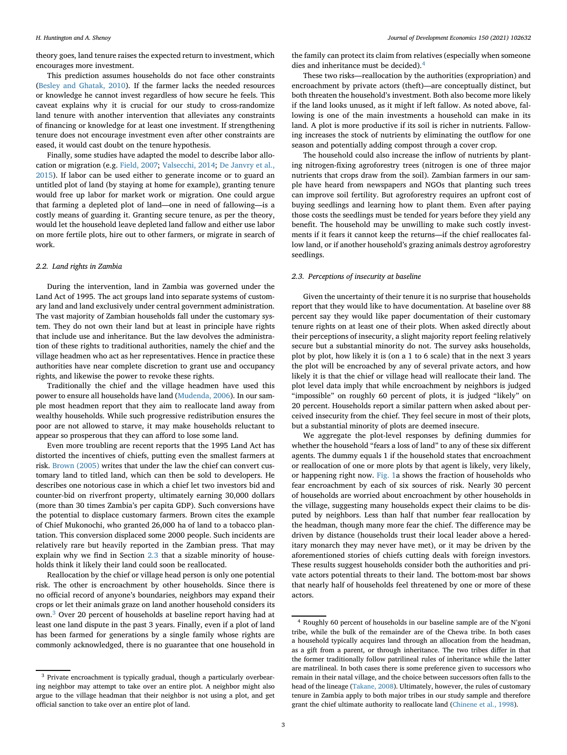theory goes, land tenure raises the expected return to investment, which encourages more investment.

This prediction assumes households do not face other constraints [\(Besley and Ghatak, 2010\)](#page-14-11). If the farmer lacks the needed resources or knowledge he cannot invest regardless of how secure he feels. This caveat explains why it is crucial for our study to cross-randomize land tenure with another intervention that alleviates any constraints of financing or knowledge for at least one investment. If strengthening tenure does not encourage investment even after other constraints are eased, it would cast doubt on the tenure hypothesis.

Finally, some studies have adapted the model to describe labor allocation or migration (e.g. [Field, 2007;](#page-14-3) [Valsecchi, 2014;](#page-14-8) De Janvry et al., [2015\). If labor can be used either to generate income or to guard an](#page-14-5) untitled plot of land (by staying at home for example), granting tenure would free up labor for market work or migration. One could argue that farming a depleted plot of land—one in need of fallowing—is a costly means of guarding it. Granting secure tenure, as per the theory, would let the household leave depleted land fallow and either use labor on more fertile plots, hire out to other farmers, or migrate in search of work.

# <span id="page-2-3"></span>*2.2. Land rights in Zambia*

During the intervention, land in Zambia was governed under the Land Act of 1995. The act groups land into separate systems of customary land and land exclusively under central government administration. The vast majority of Zambian households fall under the customary system. They do not own their land but at least in principle have rights that include use and inheritance. But the law devolves the administration of these rights to traditional authorities, namely the chief and the village headmen who act as her representatives. Hence in practice these authorities have near complete discretion to grant use and occupancy rights, and likewise the power to revoke these rights.

Traditionally the chief and the village headmen have used this power to ensure all households have land [\(Mudenda, 2006\)](#page-14-12). In our sample most headmen report that they aim to reallocate land away from wealthy households. While such progressive redistribution ensures the poor are not allowed to starve, it may make households reluctant to appear so prosperous that they can afford to lose some land.

Even more troubling are recent reports that the 1995 Land Act has distorted the incentives of chiefs, putting even the smallest farmers at risk. [Brown \(2005\)](#page-14-13) writes that under the law the chief can convert customary land to titled land, which can then be sold to developers. He describes one notorious case in which a chief let two investors bid and counter-bid on riverfront property, ultimately earning 30,000 dollars (more than 30 times Zambia's per capita GDP). Such conversions have the potential to displace customary farmers. Brown cites the example of Chief Mukonochi, who granted 26,000 ha of land to a tobacco plantation. This conversion displaced some 2000 people. Such incidents are relatively rare but heavily reported in the Zambian press. That may explain why we find in Section [2.3](#page-2-0) that a sizable minority of households think it likely their land could soon be reallocated.

Reallocation by the chief or village head person is only one potential risk. The other is encroachment by other households. Since there is no official record of anyone's boundaries, neighbors may expand their crops or let their animals graze on land another household considers its own.[3](#page-2-1) Over 20 percent of households at baseline report having had at least one land dispute in the past 3 years. Finally, even if a plot of land has been farmed for generations by a single family whose rights are commonly acknowledged, there is no guarantee that one household in

the family can protect its claim from relatives (especially when someone dies and inheritance must be decided).[4](#page-2-2)

These two risks—reallocation by the authorities (expropriation) and encroachment by private actors (theft)—are conceptually distinct, but both threaten the household's investment. Both also become more likely if the land looks unused, as it might if left fallow. As noted above, fallowing is one of the main investments a household can make in its land. A plot is more productive if its soil is richer in nutrients. Fallowing increases the stock of nutrients by eliminating the outflow for one season and potentially adding compost through a cover crop.

The household could also increase the inflow of nutrients by planting nitrogen-fixing agroforestry trees (nitrogen is one of three major nutrients that crops draw from the soil). Zambian farmers in our sample have heard from newspapers and NGOs that planting such trees can improve soil fertility. But agroforestry requires an upfront cost of buying seedlings and learning how to plant them. Even after paying those costs the seedlings must be tended for years before they yield any benefit. The household may be unwilling to make such costly investments if it fears it cannot keep the returns—if the chief reallocates fallow land, or if another household's grazing animals destroy agroforestry seedlings.

# <span id="page-2-0"></span>*2.3. Perceptions of insecurity at baseline*

Given the uncertainty of their tenure it is no surprise that households report that they would like to have documentation. At baseline over 88 percent say they would like paper documentation of their customary tenure rights on at least one of their plots. When asked directly about their perceptions of insecurity, a slight majority report feeling relatively secure but a substantial minority do not. The survey asks households, plot by plot, how likely it is (on a 1 to 6 scale) that in the next 3 years the plot will be encroached by any of several private actors, and how likely it is that the chief or village head will reallocate their land. The plot level data imply that while encroachment by neighbors is judged "impossible" on roughly 60 percent of plots, it is judged "likely" on 20 percent. Households report a similar pattern when asked about perceived insecurity from the chief. They feel secure in most of their plots, but a substantial minority of plots are deemed insecure.

We aggregate the plot-level responses by defining dummies for whether the household "fears a loss of land" to any of these six different agents. The dummy equals 1 if the household states that encroachment or reallocation of one or more plots by that agent is likely, very likely, or happening right now. [Fig. 1a](#page-3-0) shows the fraction of households who fear encroachment by each of six sources of risk. Nearly 30 percent of households are worried about encroachment by other households in the village, suggesting many households expect their claims to be disputed by neighbors. Less than half that number fear reallocation by the headman, though many more fear the chief. The difference may be driven by distance (households trust their local leader above a hereditary monarch they may never have met), or it may be driven by the aforementioned stories of chiefs cutting deals with foreign investors. These results suggest households consider both the authorities and private actors potential threats to their land. The bottom-most bar shows that nearly half of households feel threatened by one or more of these actors.

<span id="page-2-1"></span><sup>&</sup>lt;sup>3</sup> Private encroachment is typically gradual, though a particularly overbearing neighbor may attempt to take over an entire plot. A neighbor might also argue to the village headman that their neighbor is not using a plot, and get official sanction to take over an entire plot of land.

<span id="page-2-2"></span><sup>4</sup> Roughly 60 percent of households in our baseline sample are of the N'goni tribe, while the bulk of the remainder are of the Chewa tribe. In both cases a household typically acquires land through an allocation from the headman, as a gift from a parent, or through inheritance. The two tribes differ in that the former traditionally follow patrilineal rules of inheritance while the latter are matrilineal. In both cases there is some preference given to successors who remain in their natal village, and the choice between successors often falls to the head of the lineage [\(Takane, 2008\)](#page-14-14). Ultimately, however, the rules of customary tenure in Zambia apply to both major tribes in our study sample and therefore grant the chief ultimate authority to reallocate land [\(Chinene et al., 1998\)](#page-14-15).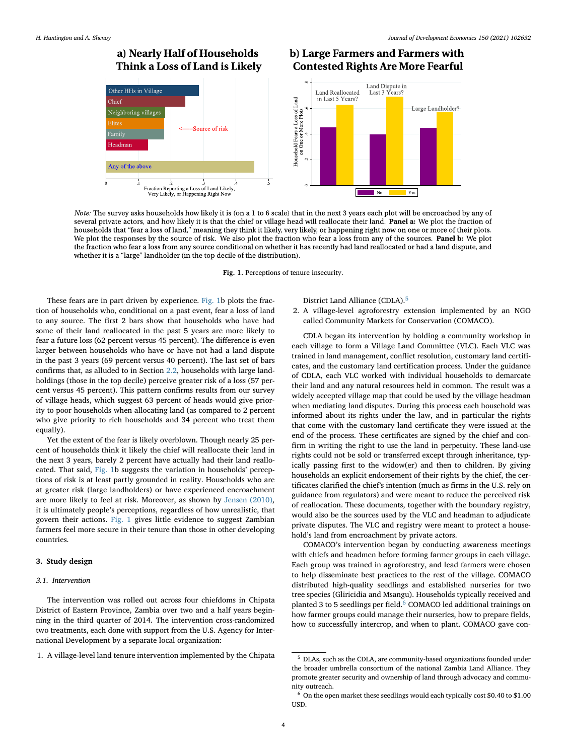# a) Nearly Half of Households Think a Loss of Land is Likely

# b) Large Farmers and Farmers with **Contested Rights Are More Fearful**



Note: The survey asks households how likely it is (on a 1 to 6 scale) that in the next 3 years each plot will be encroached by any of several private actors, and how likely it is that the chief or village head will reallocate their land. Panel a: We plot the fraction of households that "fear a loss of land," meaning they think it likely, very likely, or happening right now on one or more of their plots. We plot the responses by the source of risk. We also plot the fraction who fear a loss from any of the sources. Panel b: We plot the fraction who fear a loss from any source conditional on whether it has recently had land reallocated or had a land dispute, and whether it is a "large" landholder (in the top decile of the distribution).

**Fig. 1.** Perceptions of tenure insecurity.

These fears are in part driven by experience. [Fig. 1b](#page-3-0) plots the fraction of households who, conditional on a past event, fear a loss of land to any source. The first 2 bars show that households who have had some of their land reallocated in the past 5 years are more likely to fear a future loss (62 percent versus 45 percent). The difference is even larger between households who have or have not had a land dispute in the past 3 years (69 percent versus 40 percent). The last set of bars confirms that, as alluded to in Section [2.2,](#page-2-3) households with large landholdings (those in the top decile) perceive greater risk of a loss (57 percent versus 45 percent). This pattern confirms results from our survey of village heads, which suggest 63 percent of heads would give priority to poor households when allocating land (as compared to 2 percent who give priority to rich households and 34 percent who treat them equally).

Yet the extent of the fear is likely overblown. Though nearly 25 percent of households think it likely the chief will reallocate their land in the next 3 years, barely 2 percent have actually had their land reallocated. That said, [Fig. 1b](#page-3-0) suggests the variation in households' perceptions of risk is at least partly grounded in reality. Households who are at greater risk (large landholders) or have experienced encroachment are more likely to feel at risk. Moreover, as shown by [Jensen \(2010\),](#page-14-16) it is ultimately people's perceptions, regardless of how unrealistic, that govern their actions. [Fig. 1](#page-3-0) gives little evidence to suggest Zambian farmers feel more secure in their tenure than those in other developing countries.

# <span id="page-3-4"></span><span id="page-3-3"></span>**3. Study design**

# *3.1. Intervention*

The intervention was rolled out across four chiefdoms in Chipata District of Eastern Province, Zambia over two and a half years beginning in the third quarter of 2014. The intervention cross-randomized two treatments, each done with support from the U.S. Agency for International Development by a separate local organization:

1. A village-level land tenure intervention implemented by the Chipata

<span id="page-3-0"></span>District Land Alliance (CDLA).<sup>[5](#page-3-1)</sup>

2. A village-level agroforestry extension implemented by an NGO called Community Markets for Conservation (COMACO).

CDLA began its intervention by holding a community workshop in each village to form a Village Land Committee (VLC). Each VLC was trained in land management, conflict resolution, customary land certificates, and the customary land certification process. Under the guidance of CDLA, each VLC worked with individual households to demarcate their land and any natural resources held in common. The result was a widely accepted village map that could be used by the village headman when mediating land disputes. During this process each household was informed about its rights under the law, and in particular the rights that come with the customary land certificate they were issued at the end of the process. These certificates are signed by the chief and confirm in writing the right to use the land in perpetuity. These land-use rights could not be sold or transferred except through inheritance, typically passing first to the widow(er) and then to children. By giving households an explicit endorsement of their rights by the chief, the certificates clarified the chief's intention (much as firms in the U.S. rely on guidance from regulators) and were meant to reduce the perceived risk of reallocation. These documents, together with the boundary registry, would also be the sources used by the VLC and headman to adjudicate private disputes. The VLC and registry were meant to protect a household's land from encroachment by private actors.

COMACO's intervention began by conducting awareness meetings with chiefs and headmen before forming farmer groups in each village. Each group was trained in agroforestry, and lead farmers were chosen to help disseminate best practices to the rest of the village. COMACO distributed high-quality seedlings and established nurseries for two tree species (Gliricidia and Msangu). Households typically received and planted 3 to 5 seedlings per field. $^6$  $^6$  COMACO led additional trainings on how farmer groups could manage their nurseries, how to prepare fields, how to successfully intercrop, and when to plant. COMACO gave con-

<span id="page-3-1"></span><sup>5</sup> DLAs, such as the CDLA, are community-based organizations founded under the broader umbrella consortium of the national Zambia Land Alliance. They promote greater security and ownership of land through advocacy and community outreach.

<span id="page-3-2"></span><sup>6</sup> On the open market these seedlings would each typically cost \$0.40 to \$1.00 USD.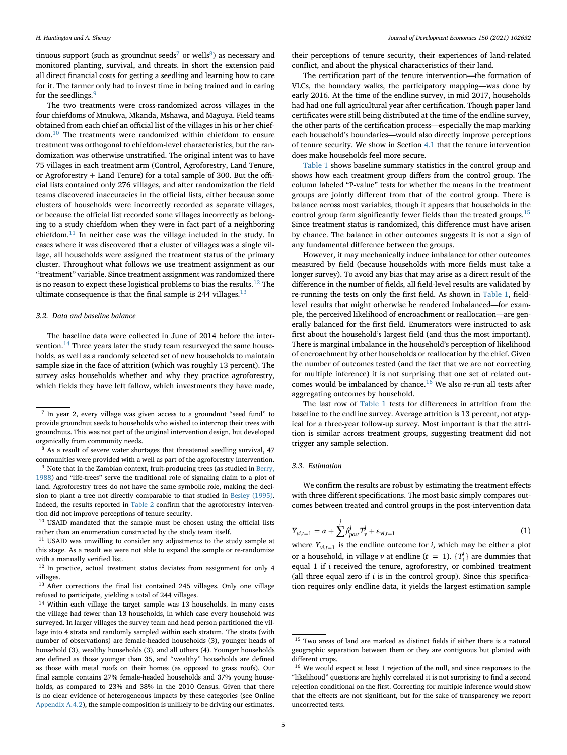tinuous support (such as groundnut seeds<sup>7</sup> or wells<sup>8</sup>) as necessary and monitored planting, survival, and threats. In short the extension paid all direct financial costs for getting a seedling and learning how to care for it. The farmer only had to invest time in being trained and in caring for the seedlings. $\frac{9}{2}$  $\frac{9}{2}$  $\frac{9}{2}$ 

The two treatments were cross-randomized across villages in the four chiefdoms of Mnukwa, Mkanda, Mshawa, and Maguya. Field teams obtained from each chief an official list of the villages in his or her chiefdom.[10](#page-4-3) The treatments were randomized within chiefdom to ensure treatment was orthogonal to chiefdom-level characteristics, but the randomization was otherwise unstratified. The original intent was to have 75 villages in each treatment arm (Control, Agroforestry, Land Tenure, or Agroforestry + Land Tenure) for a total sample of 300. But the official lists contained only 276 villages, and after randomization the field teams discovered inaccuracies in the official lists, either because some clusters of households were incorrectly recorded as separate villages, or because the official list recorded some villages incorrectly as belonging to a study chiefdom when they were in fact part of a neighboring chiefdom.[11](#page-4-4) In neither case was the village included in the study. In cases where it was discovered that a cluster of villages was a single village, all households were assigned the treatment status of the primary cluster. Throughout what follows we use treatment assignment as our "treatment" variable. Since treatment assignment was randomized there is no reason to expect these logistical problems to bias the results.<sup>[12](#page-4-5)</sup> The ultimate consequence is that the final sample is  $244$  villages.<sup>[13](#page-4-6)</sup>

# <span id="page-4-11"></span>*3.2. Data and baseline balance*

The baseline data were collected in June of 2014 before the intervention. $14$  Three years later the study team resurveyed the same households, as well as a randomly selected set of new households to maintain sample size in the face of attrition (which was roughly 13 percent). The survey asks households whether and why they practice agroforestry, which fields they have left fallow, which investments they have made,

<span id="page-4-4"></span><sup>11</sup> USAID was unwilling to consider any adjustments to the study sample at this stage. As a result we were not able to expand the sample or re-randomize with a manually verified list.

<span id="page-4-5"></span><sup>12</sup> In practice, actual treatment status deviates from assignment for only 4 villages.

<span id="page-4-6"></span><sup>13</sup> After corrections the final list contained 245 villages. Only one village refused to participate, yielding a total of 244 villages.

<span id="page-4-7"></span><sup>14</sup> Within each village the target sample was 13 households. In many cases the village had fewer than 13 households, in which case every household was surveyed. In larger villages the survey team and head person partitioned the village into 4 strata and randomly sampled within each stratum. The strata (with number of observations) are female-headed households (3), younger heads of household (3), wealthy households (3), and all others (4). Younger households are defined as those younger than 35, and "wealthy" households are defined as those with metal roofs on their homes (as opposed to grass roofs). Our final sample contains 27% female-headed households and 37% young households, as compared to 23% and 38% in the 2010 Census. Given that there is no clear evidence of heterogeneous impacts by these categories (see Online [Appendix A.4.2\)](#page-14-18), the sample composition is unlikely to be driving our estimates.

their perceptions of tenure security, their experiences of land-related conflict, and about the physical characteristics of their land.

The certification part of the tenure intervention—the formation of VLCs, the boundary walks, the participatory mapping—was done by early 2016. At the time of the endline survey, in mid 2017, households had had one full agricultural year after certification. Though paper land certificates were still being distributed at the time of the endline survey, the other parts of the certification process—especially the map marking each household's boundaries—would also directly improve perceptions of tenure security. We show in Section [4.1](#page-6-0) that the tenure intervention does make households feel more secure.

[Table 1](#page-5-0) shows baseline summary statistics in the control group and shows how each treatment group differs from the control group. The column labeled "P-value" tests for whether the means in the treatment groups are jointly different from that of the control group. There is balance across most variables, though it appears that households in the control group farm significantly fewer fields than the treated groups. $15$ Since treatment status is randomized, this difference must have arisen by chance. The balance in other outcomes suggests it is not a sign of any fundamental difference between the groups.

However, it may mechanically induce imbalance for other outcomes measured by field (because households with more fields must take a longer survey). To avoid any bias that may arise as a direct result of the difference in the number of fields, all field-level results are validated by re-running the tests on only the first field. As shown in [Table 1,](#page-5-0) fieldlevel results that might otherwise be rendered imbalanced—for example, the perceived likelihood of encroachment or reallocation—are generally balanced for the first field. Enumerators were instructed to ask first about the household's largest field (and thus the most important). There is marginal imbalance in the household's perception of likelihood of encroachment by other households or reallocation by the chief. Given the number of outcomes tested (and the fact that we are not correcting for multiple inference) it is not surprising that one set of related out-comes would be imbalanced by chance.<sup>[16](#page-4-9)</sup> We also re-run all tests after aggregating outcomes by household.

The last row of [Table 1](#page-5-0) tests for differences in attrition from the baseline to the endline survey. Average attrition is 13 percent, not atypical for a three-year follow-up survey. Most important is that the attrition is similar across treatment groups, suggesting treatment did not trigger any sample selection.

# *3.3. Estimation*

We confirm the results are robust by estimating the treatment effects with three different specifications. The most basic simply compares outcomes between treated and control groups in the post-intervention data

<span id="page-4-10"></span>
$$
Y_{vi,t=1} = \alpha + \sum_{\nu}^{j} \beta_{post}^{j} T_{\nu}^{j} + \varepsilon_{vi,t=1}
$$
\n(1)

where  $Y_{\nu i,t=1}$  is the endline outcome for *i*, which may be either a plot or a household, in village *v* at endline ( $t = 1$ ). { $T_i^j$ } are dummies that  $i$  a notational, in vinage  $\ell$  at endine  $\ell = 1$ ,  $\ell_{i,j}$  are damned treatment equal 1 if *i* received the tenure, agroforestry, or combined treatment (all three equal zero if *i* is in the control group). Since this specification requires only endline data, it yields the largest estimation sample

<span id="page-4-0"></span><sup>7</sup> In year 2, every village was given access to a groundnut "seed fund" to provide groundnut seeds to households who wished to intercrop their trees with groundnuts. This was not part of the original intervention design, but developed organically from community needs.

<span id="page-4-1"></span><sup>&</sup>lt;sup>8</sup> As a result of severe water shortages that threatened seedling survival, 47 communities were provided with a well as part of the agroforestry intervention.

<span id="page-4-2"></span><sup>&</sup>lt;sup>9</sup> Note that in the Zambian context, fruit-producing trees (as studied in Berry, [1988\) and "life-trees" serve the traditional role of signaling claim to a plot of](#page-14-17) land. Agroforestry trees do not have the same symbolic role, making the decision to plant a tree not directly comparable to that studied in [Besley \(1995\).](#page-14-2) Indeed, the results reported in [Table 2](#page-7-0) confirm that the agroforestry intervention did not improve perceptions of tenure security.

<span id="page-4-3"></span><sup>&</sup>lt;sup>10</sup> USAID mandated that the sample must be chosen using the official lists rather than an enumeration constructed by the study team itself.

<span id="page-4-8"></span><sup>&</sup>lt;sup>15</sup> Two areas of land are marked as distinct fields if either there is a natural geographic separation between them or they are contiguous but planted with different crops.

<span id="page-4-9"></span><sup>16</sup> We would expect at least 1 rejection of the null, and since responses to the "likelihood" questions are highly correlated it is not surprising to find a second rejection conditional on the first. Correcting for multiple inference would show that the effects are not significant, but for the sake of transparency we report uncorrected tests.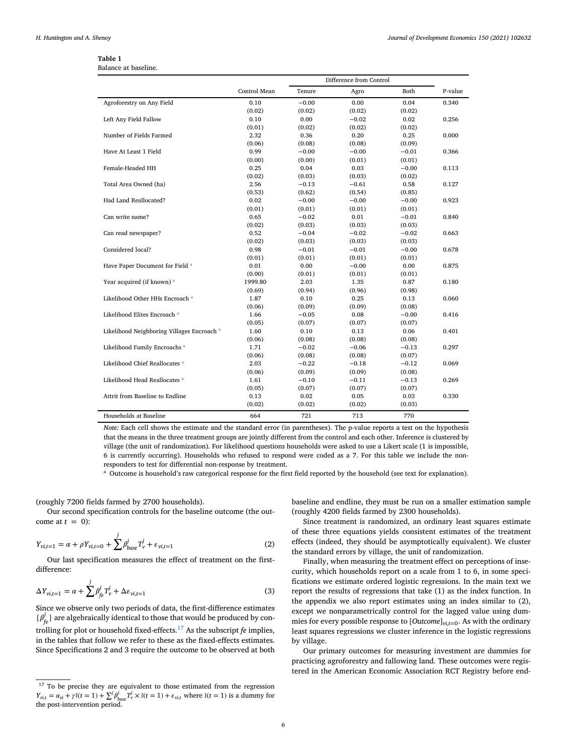| Table 1              |  |
|----------------------|--|
| Balance at baseline. |  |

<span id="page-5-0"></span>

|                                                       |              | Difference from Control |         |         |         |
|-------------------------------------------------------|--------------|-------------------------|---------|---------|---------|
|                                                       | Control Mean | Tenure                  | Agro    | Both    | P-value |
| Agroforestry on Any Field                             | 0.10         | $-0.00$                 | 0.00    | 0.04    | 0.340   |
|                                                       | (0.02)       | (0.02)                  | (0.02)  | (0.02)  |         |
| Left Any Field Fallow                                 | 0.10         | 0.00                    | $-0.02$ | 0.02    | 0.256   |
|                                                       | (0.01)       | (0.02)                  | (0.02)  | (0.02)  |         |
| Number of Fields Farmed                               | 2.32         | 0.36                    | 0.20    | 0.25    | 0.000   |
|                                                       | (0.06)       | (0.08)                  | (0.08)  | (0.09)  |         |
| Have At Least 1 Field                                 | 0.99         | $-0.00$                 | $-0.00$ | $-0.01$ | 0.366   |
|                                                       | (0.00)       | (0.00)                  | (0.01)  | (0.01)  |         |
| Female-Headed HH                                      | 0.25         | 0.04                    | 0.03    | $-0.00$ | 0.113   |
|                                                       | (0.02)       | (0.03)                  | (0.03)  | (0.02)  |         |
| Total Area Owned (ha)                                 | 2.56         | $-0.13$                 | $-0.61$ | 0.58    | 0.127   |
|                                                       | (0.53)       | (0.62)                  | (0.54)  | (0.85)  |         |
| Had Land Reallocated?                                 | 0.02         | $-0.00$                 | $-0.00$ | $-0.00$ | 0.923   |
|                                                       | (0.01)       | (0.01)                  | (0.01)  | (0.01)  |         |
| Can write name?                                       | 0.65         | $-0.02$                 | 0.01    | $-0.01$ | 0.840   |
|                                                       | (0.02)       | (0.03)                  | (0.03)  | (0.03)  |         |
| Can read newspaper?                                   | 0.52         | $-0.04$                 | $-0.02$ | $-0.02$ | 0.663   |
|                                                       | (0.02)       | (0.03)                  | (0.03)  | (0.03)  |         |
| Considered local?                                     | 0.98         | $-0.01$                 | $-0.01$ | $-0.00$ | 0.678   |
|                                                       | (0.01)       | (0.01)                  | (0.01)  | (0.01)  |         |
| Have Paper Document for Field <sup>a</sup>            | 0.01         | 0.00                    | $-0.00$ | 0.00    | 0.875   |
|                                                       | (0.00)       | (0.01)                  | (0.01)  | (0.01)  |         |
| Year acquired (if known) <sup>a</sup>                 | 1999.80      | 2.03                    | 1.35    | 0.87    | 0.180   |
|                                                       | (0.69)       | (0.94)                  | (0.96)  | (0.98)  |         |
| Likelihood Other HHs Encroach <sup>a</sup>            | 1.87         | 0.10                    | 0.25    | 0.13    | 0.060   |
|                                                       | (0.06)       | (0.09)                  | (0.09)  | (0.08)  |         |
| Likelihood Elites Encroach <sup>a</sup>               | 1.66         | $-0.05$                 | 0.08    | $-0.00$ | 0.416   |
|                                                       | (0.05)       | (0.07)                  | (0.07)  | (0.07)  |         |
| Likelihood Neighboring Villages Encroach <sup>a</sup> | 1.60         | 0.10                    | 0.13    | 0.06    | 0.401   |
|                                                       | (0.06)       | (0.08)                  | (0.08)  | (0.08)  |         |
| Likelihood Family Encroachs <sup>a</sup>              | 1.71         | $-0.02$                 | $-0.06$ | $-0.13$ | 0.297   |
|                                                       | (0.06)       | (0.08)                  | (0.08)  | (0.07)  |         |
| Likelihood Chief Reallocates <sup>a</sup>             | 2.03         | $-0.22$                 | $-0.18$ | $-0.12$ | 0.069   |
|                                                       | (0.06)       | (0.09)                  | (0.09)  | (0.08)  |         |
| Likelihood Head Reallocates <sup>a</sup>              | 1.61         | $-0.10$                 | $-0.11$ | $-0.13$ | 0.269   |
|                                                       | (0.05)       | (0.07)                  | (0.07)  | (0.07)  |         |
| Attrit from Baseline to Endline                       | 0.13         | 0.02                    | 0.05    | 0.03    | 0.330   |
|                                                       | (0.02)       | (0.02)                  | (0.02)  | (0.03)  |         |
| Households at Baseline                                | 664          | 721                     | 713     | 770     |         |

*Note:* Each cell shows the estimate and the standard error (in parentheses). The p-value reports a test on the hypothesis that the means in the three treatment groups are jointly different from the control and each other. Inference is clustered by village (the unit of randomization). For likelihood questions households were asked to use a Likert scale (1 is impossible, 6 is currently occurring). Households who refused to respond were coded as a 7. For this table we include the nonresponders to test for differential non-response by treatment.

<sup>a</sup> Outcome is household's raw categorical response for the first field reported by the household (see text for explanation).

<span id="page-5-1"></span>(roughly 7200 fields farmed by 2700 households).

Our second specification controls for the baseline outcome (the outcome at  $t = 0$ :

$$
Y_{vi,t=1} = \alpha + \rho Y_{vi,t=0} + \sum_{\nu}^{j} \beta_{base}^{j} T_{\nu}^{j} + \varepsilon_{vi,t=1}
$$
 (2)

Our last specification measures the effect of treatment on the firstdifference:

$$
\Delta Y_{vi,t=1} = \alpha + \sum_{j} \beta_{fe}^{j} T_{\nu}^{j} + \Delta \varepsilon_{vi,t=1}
$$
\n(3)

Since we observe only two periods of data, the first-difference estimates  $\{\beta_{fe}^j\}$  are algebraically identical to those that would be produced by controlling for plot or household fixed-effects.[17](#page-5-2) As the subscript *fe* implies, in the tables that follow we refer to these as the fixed-effects estimates. Since Specifications 2 and 3 require the outcome to be observed at both

baseline and endline, they must be run on a smaller estimation sample (roughly 4200 fields farmed by 2300 households).

Since treatment is randomized, an ordinary least squares estimate of these three equations yields consistent estimates of the treatment effects (indeed, they should be asymptotically equivalent). We cluster the standard errors by village, the unit of randomization.

Finally, when measuring the treatment effect on perceptions of insecurity, which households report on a scale from 1 to 6, in some specifications we estimate ordered logistic regressions. In the main text we report the results of regressions that take (1) as the index function. In the appendix we also report estimates using an index similar to (2), except we nonparametrically control for the lagged value using dummies for every possible response to [*Outcome*]*vi*,*t*<sup>=</sup>0. As with the ordinary least squares regressions we cluster inference in the logistic regressions by village.

Our primary outcomes for measuring investment are dummies for practicing agroforestry and fallowing land. These outcomes were registered in the American Economic Association RCT Registry before end-

<span id="page-5-2"></span><sup>&</sup>lt;sup>17</sup> To be precise they are equivalent to those estimated from the regression  $Y_{\nu i,t} = \alpha_{\nu i} + \gamma \mathbb{I}(t=1) + \sum_j \beta_{base}^j T_{\nu}^j \times \mathbb{I}(t=1) + \epsilon_{\nu i,t}$  where  $\mathbb{I}(t=1)$  is a dummy for the post-intervention period.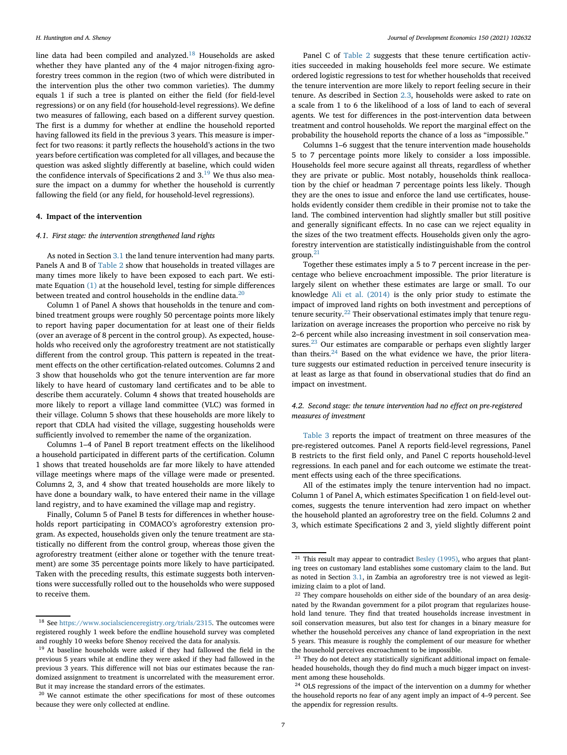line data had been compiled and analyzed.[18](#page-6-1) Households are asked whether they have planted any of the 4 major nitrogen-fixing agroforestry trees common in the region (two of which were distributed in the intervention plus the other two common varieties). The dummy equals 1 if such a tree is planted on either the field (for field-level regressions) or on any field (for household-level regressions). We define two measures of fallowing, each based on a different survey question. The first is a dummy for whether at endline the household reported having fallowed its field in the previous 3 years. This measure is imperfect for two reasons: it partly reflects the household's actions in the two years before certification was completed for all villages, and because the question was asked slightly differently at baseline, which could widen the confidence intervals of Specifications 2 and 3.[19](#page-6-2) We thus also measure the impact on a dummy for whether the household is currently fallowing the field (or any field, for household-level regressions).

# <span id="page-6-0"></span>**4. Impact of the intervention**

# *4.1. First stage: the intervention strengthened land rights*

As noted in Section [3.1](#page-3-3) the land tenure intervention had many parts. Panels A and B of [Table 2](#page-7-0) show that households in treated villages are many times more likely to have been exposed to each part. We estimate Equation [\(1\)](#page-4-10) at the household level, testing for simple differences between treated and control households in the endline data.<sup>[20](#page-6-3)</sup>

Column 1 of Panel A shows that households in the tenure and combined treatment groups were roughly 50 percentage points more likely to report having paper documentation for at least one of their fields (over an average of 8 percent in the control group). As expected, households who received only the agroforestry treatment are not statistically different from the control group. This pattern is repeated in the treatment effects on the other certification-related outcomes. Columns 2 and 3 show that households who got the tenure intervention are far more likely to have heard of customary land certificates and to be able to describe them accurately. Column 4 shows that treated households are more likely to report a village land committee (VLC) was formed in their village. Column 5 shows that these households are more likely to report that CDLA had visited the village, suggesting households were sufficiently involved to remember the name of the organization.

Columns 1–4 of Panel B report treatment effects on the likelihood a household participated in different parts of the certification. Column 1 shows that treated households are far more likely to have attended village meetings where maps of the village were made or presented. Columns 2, 3, and 4 show that treated households are more likely to have done a boundary walk, to have entered their name in the village land registry, and to have examined the village map and registry.

Finally, Column 5 of Panel B tests for differences in whether households report participating in COMACO's agroforestry extension program. As expected, households given only the tenure treatment are statistically no different from the control group, whereas those given the agroforestry treatment (either alone or together with the tenure treatment) are some 35 percentage points more likely to have participated. Taken with the preceding results, this estimate suggests both interventions were successfully rolled out to the households who were supposed to receive them.

Panel C of [Table 2](#page-7-0) suggests that these tenure certification activities succeeded in making households feel more secure. We estimate ordered logistic regressions to test for whether households that received the tenure intervention are more likely to report feeling secure in their tenure. As described in Section [2.3,](#page-2-0) households were asked to rate on a scale from 1 to 6 the likelihood of a loss of land to each of several agents. We test for differences in the post-intervention data between treatment and control households. We report the marginal effect on the probability the household reports the chance of a loss as "impossible."

Columns 1–6 suggest that the tenure intervention made households 5 to 7 percentage points more likely to consider a loss impossible. Households feel more secure against all threats, regardless of whether they are private or public. Most notably, households think reallocation by the chief or headman 7 percentage points less likely. Though they are the ones to issue and enforce the land use certificates, households evidently consider them credible in their promise not to take the land. The combined intervention had slightly smaller but still positive and generally significant effects. In no case can we reject equality in the sizes of the two treatment effects. Households given only the agroforestry intervention are statistically indistinguishable from the control group.[21](#page-6-4)

Together these estimates imply a 5 to 7 percent increase in the percentage who believe encroachment impossible. The prior literature is largely silent on whether these estimates are large or small. To our knowledge [Ali et al. \(2014\)](#page-14-7) is the only prior study to estimate the impact of improved land rights on both investment and perceptions of tenure security.<sup>[22](#page-6-5)</sup> Their observational estimates imply that tenure regularization on average increases the proportion who perceive no risk by 2–6 percent while also increasing investment in soil conservation mea-sures.<sup>[23](#page-6-6)</sup> Our estimates are comparable or perhaps even slightly larger than theirs. $24$  Based on the what evidence we have, the prior literature suggests our estimated reduction in perceived tenure insecurity is at least as large as that found in observational studies that do find an impact on investment.

# <span id="page-6-8"></span>*4.2. Second stage: the tenure intervention had no effect on pre-registered measures of investment*

[Table 3](#page-8-0) reports the impact of treatment on three measures of the pre-registered outcomes. Panel A reports field-level regressions, Panel B restricts to the first field only, and Panel C reports household-level regressions. In each panel and for each outcome we estimate the treatment effects using each of the three specifications.

All of the estimates imply the tenure intervention had no impact. Column 1 of Panel A, which estimates Specification 1 on field-level outcomes, suggests the tenure intervention had zero impact on whether the household planted an agroforestry tree on the field. Columns 2 and 3, which estimate Specifications 2 and 3, yield slightly different point

<span id="page-6-1"></span> $^{18}$  See [https://www.socialscienceregistry.org/trials/2315.](https://www.socialscienceregistry.org/trials/2315) The outcomes were registered roughly 1 week before the endline household survey was completed and roughly 10 weeks before Shenoy received the data for analysis.

<span id="page-6-2"></span><sup>&</sup>lt;sup>19</sup> At baseline households were asked if they had fallowed the field in the previous 5 years while at endline they were asked if they had fallowed in the previous 3 years. This difference will not bias our estimates because the randomized assignment to treatment is uncorrelated with the measurement error. But it may increase the standard errors of the estimates.

<span id="page-6-3"></span><sup>&</sup>lt;sup>20</sup> We cannot estimate the other specifications for most of these outcomes because they were only collected at endline.

<span id="page-6-4"></span><sup>&</sup>lt;sup>21</sup> This result may appear to contradict [Besley \(1995\),](#page-14-2) who argues that planting trees on customary land establishes some customary claim to the land. But as noted in Section [3.1,](#page-3-3) in Zambia an agroforestry tree is not viewed as legitimizing claim to a plot of land.

<span id="page-6-5"></span><sup>&</sup>lt;sup>22</sup> They compare households on either side of the boundary of an area designated by the Rwandan government for a pilot program that regularizes household land tenure. They find that treated households increase investment in soil conservation measures, but also test for changes in a binary measure for whether the household perceives any chance of land expropriation in the next 5 years. This measure is roughly the complement of our measure for whether the household perceives encroachment to be impossible.

<span id="page-6-6"></span><sup>&</sup>lt;sup>23</sup> They do not detect any statistically significant additional impact on femaleheaded households, though they do find much a much bigger impact on investment among these households.

<span id="page-6-7"></span><sup>&</sup>lt;sup>24</sup> OLS regressions of the impact of the intervention on a dummy for whether the household reports no fear of any agent imply an impact of 4–9 percent. See the appendix for regression results.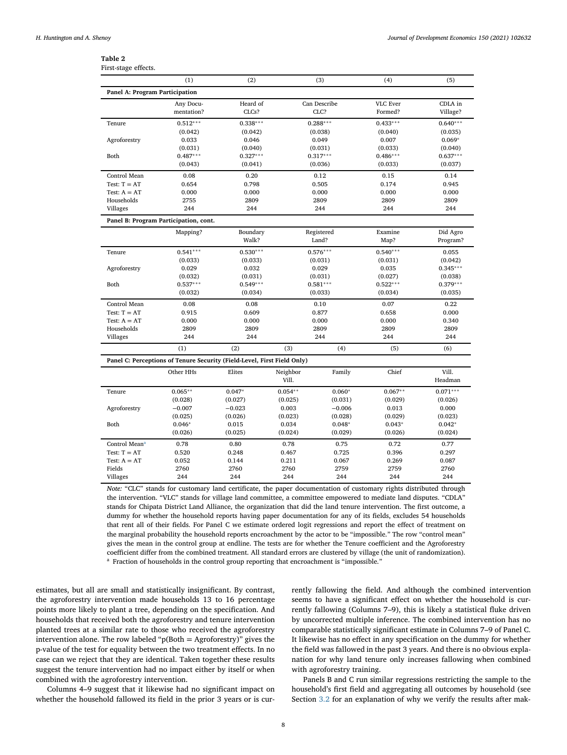<span id="page-7-0"></span>

| First-stage effects.           |                                                                         |            |           |              |                 |            |
|--------------------------------|-------------------------------------------------------------------------|------------|-----------|--------------|-----------------|------------|
|                                | (1)                                                                     | (2)        |           | (3)          | (4)             | (5)        |
| Panel A: Program Participation |                                                                         |            |           |              |                 |            |
|                                | Any Docu-                                                               | Heard of   |           | Can Describe | <b>VLC Ever</b> | CDLA in    |
|                                | mentation?                                                              | CLCs?      |           | CLC?         | Formed?         | Village?   |
| Tenure                         | $0.512***$                                                              | $0.338***$ |           | $0.288***$   | $0.433***$      | $0.640***$ |
|                                | (0.042)                                                                 | (0.042)    |           | (0.038)      | (0.040)         | (0.035)    |
| Agroforestry                   | 0.033                                                                   | 0.046      |           | 0.049        | 0.007           | $0.069*$   |
|                                | (0.031)                                                                 | (0.040)    |           | (0.031)      | (0.033)         | (0.040)    |
| Both                           | $0.487***$                                                              | $0.327***$ |           | $0.317***$   | $0.486***$      | $0.637***$ |
|                                | (0.043)                                                                 | (0.041)    |           | (0.036)      | (0.033)         | (0.037)    |
| Control Mean                   | 0.08                                                                    | 0.20       |           | 0.12         | 0.15            | 0.14       |
| Test: $T = AT$                 | 0.654                                                                   | 0.798      |           | 0.505        | 0.174           | 0.945      |
| Test: $A = AT$                 | 0.000                                                                   | 0.000      |           | 0.000        | 0.000           | 0.000      |
| Households                     | 2755                                                                    | 2809       |           | 2809         | 2809            | 2809       |
| Villages                       | 244                                                                     | 244        |           | 244          | 244             | 244        |
|                                | Panel B: Program Participation, cont.                                   |            |           |              |                 |            |
|                                | Mapping?                                                                | Boundary   |           | Registered   | Examine         | Did Agro   |
|                                |                                                                         | Walk?      |           | Land?        | Map?            | Program?   |
| Tenure                         | $0.541***$                                                              | $0.530***$ |           | $0.576***$   | $0.540***$      | 0.055      |
|                                | (0.033)                                                                 | (0.033)    |           | (0.031)      | (0.031)         | (0.042)    |
| Agroforestry                   | 0.029                                                                   | 0.032      |           | 0.029        | 0.035           | $0.345***$ |
|                                | (0.032)                                                                 | (0.031)    |           | (0.031)      | (0.027)         | (0.038)    |
| Both                           | $0.537***$                                                              | $0.549***$ |           | $0.581***$   | $0.522***$      | $0.379***$ |
|                                | (0.032)                                                                 | (0.034)    |           | (0.033)      | (0.034)         | (0.035)    |
| Control Mean                   | 0.08                                                                    | 0.08       |           | 0.10         | 0.07            | 0.22       |
| Test: $T = AT$                 | 0.915                                                                   | 0.609      |           | 0.877        | 0.658           | 0.000      |
| Test: $A = AT$                 | 0.000                                                                   | 0.000      |           | 0.000        | 0.000           | 0.340      |
| Households                     | 2809                                                                    | 2809       |           | 2809         | 2809            | 2809       |
| Villages                       | 244                                                                     | 244        |           | 244          | 244             | 244        |
|                                | (1)                                                                     | (2)        | (3)       | (4)          | (5)             | (6)        |
|                                | Panel C: Perceptions of Tenure Security (Field-Level, First Field Only) |            |           |              |                 |            |
|                                | Other HHs                                                               | Elites     | Neighbor  | Family       | Chief           | Vill.      |
|                                |                                                                         |            | Vill.     |              |                 | Headman    |
| Tenure                         | $0.065**$                                                               | $0.047*$   | $0.054**$ | $0.060*$     | $0.067**$       | $0.071***$ |
|                                | (0.028)                                                                 | (0.027)    | (0.025)   | (0.031)      | (0.029)         | (0.026)    |
| Agroforestry                   | $-0.007$                                                                | $-0.023$   | 0.003     | $-0.006$     | 0.013           | 0.000      |
|                                | (0.025)                                                                 | (0.026)    | (0.023)   | (0.028)      | (0.029)         | (0.023)    |
| Both                           | $0.046*$                                                                | 0.015      | 0.034     | $0.048*$     | $0.043*$        | $0.042*$   |
|                                | (0.026)                                                                 | (0.025)    | (0.024)   | (0.029)      | (0.026)         | (0.024)    |
| Control Mean <sup>a</sup>      | 0.78                                                                    | 0.80       | 0.78      | 0.75         | 0.72            | 0.77       |
| Test: $T = AT$                 | 0.520                                                                   | 0.248      | 0.467     | 0.725        | 0.396           | 0.297      |
| Test: $A = AT$                 | 0.052                                                                   | 0.144      | 0.211     | 0.067        | 0.269           | 0.087      |
| Fields                         | 2760                                                                    | 2760       | 2760      | 2759         | 2759            | 2760       |
| Villages                       | 244                                                                     | 244        | 244       | 244          | 244             | 244        |

*Note:* "CLC" stands for customary land certificate, the paper documentation of customary rights distributed through the intervention. "VLC" stands for village land committee, a committee empowered to mediate land disputes. "CDLA" stands for Chipata District Land Alliance, the organization that did the land tenure intervention. The first outcome, a dummy for whether the household reports having paper documentation for any of its fields, excludes 54 households that rent all of their fields. For Panel C we estimate ordered logit regressions and report the effect of treatment on the marginal probability the household reports encroachment by the actor to be "impossible." The row "control mean" gives the mean in the control group at endline. The tests are for whether the Tenure coefficient and the Agroforestry coefficient differ from the combined treatment. All standard errors are clustered by village (the unit of randomization). <sup>a</sup> Fraction of households in the control group reporting that encroachment is "impossible."

<span id="page-7-1"></span>estimates, but all are small and statistically insignificant. By contrast, the agroforestry intervention made households 13 to 16 percentage points more likely to plant a tree, depending on the specification. And households that received both the agroforestry and tenure intervention planted trees at a similar rate to those who received the agroforestry intervention alone. The row labeled " $p(Both = Agroforestry)$ " gives the p-value of the test for equality between the two treatment effects. In no case can we reject that they are identical. Taken together these results suggest the tenure intervention had no impact either by itself or when combined with the agroforestry intervention.

Columns 4–9 suggest that it likewise had no significant impact on whether the household fallowed its field in the prior 3 years or is currently fallowing the field. And although the combined intervention seems to have a significant effect on whether the household is currently fallowing (Columns 7–9), this is likely a statistical fluke driven by uncorrected multiple inference. The combined intervention has no comparable statistically significant estimate in Columns 7–9 of Panel C. It likewise has no effect in any specification on the dummy for whether the field was fallowed in the past 3 years. And there is no obvious explanation for why land tenure only increases fallowing when combined with agroforestry training.

Panels B and C run similar regressions restricting the sample to the household's first field and aggregating all outcomes by household (see Section [3.2](#page-4-11) for an explanation of why we verify the results after mak-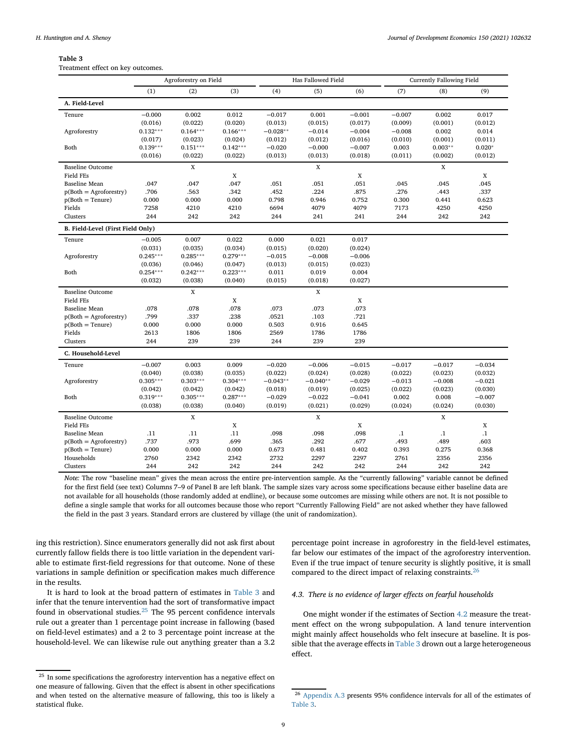Treatment effect on key outcomes.

<span id="page-8-0"></span>

|                                   |            | Agroforestry on Field |            | Has Fallowed Field |             |          | <b>Currently Fallowing Field</b> |             |           |
|-----------------------------------|------------|-----------------------|------------|--------------------|-------------|----------|----------------------------------|-------------|-----------|
|                                   | (1)        | (2)                   | (3)        | (4)                | (5)         | (6)      | (7)                              | (8)         | (9)       |
| A. Field-Level                    |            |                       |            |                    |             |          |                                  |             |           |
| Tenure                            | $-0.000$   | 0.002                 | 0.012      | $-0.017$           | 0.001       | $-0.001$ | $-0.007$                         | 0.002       | 0.017     |
|                                   | (0.016)    | (0.022)               | (0.020)    | (0.013)            | (0.015)     | (0.017)  | (0.009)                          | (0.001)     | (0.012)   |
| Agroforestry                      | $0.132***$ | $0.164***$            | $0.166***$ | $-0.028**$         | $-0.014$    | $-0.004$ | $-0.008$                         | 0.002       | 0.014     |
|                                   | (0.017)    | (0.023)               | (0.024)    | (0.012)            | (0.012)     | (0.016)  | (0.010)                          | (0.001)     | (0.011)   |
| Both                              | $0.139***$ | $0.151***$            | $0.142***$ | $-0.020$           | $-0.000$    | $-0.007$ | 0.003                            | $0.003**$   | $0.020*$  |
|                                   | (0.016)    | (0.022)               | (0.022)    | (0.013)            | (0.013)     | (0.018)  | (0.011)                          | (0.002)     | (0.012)   |
| <b>Baseline Outcome</b>           |            | $\mathbf X$           |            |                    | $\mathbf X$ |          |                                  | $\mathbf X$ |           |
| <b>Field FEs</b>                  |            |                       | X          |                    |             | X        |                                  |             | X         |
| <b>Baseline Mean</b>              | .047       | .047                  | .047       | .051               | .051        | .051     | .045                             | .045        | .045      |
| $p(Both = Agroforestry)$          | .706       | .563                  | .342       | .452               | .224        | .875     | .276                             | .443        | .337      |
| $p(Both = Tenure)$                | 0.000      | 0.000                 | 0.000      | 0.798              | 0.946       | 0.752    | 0.300                            | 0.441       | 0.623     |
| Fields                            | 7258       | 4210                  | 4210       | 6694               | 4079        | 4079     | 7173                             | 4250        | 4250      |
| Clusters                          | 244        | 242                   | 242        | 244                | 241         | 241      | 244                              | 242         | 242       |
| B. Field-Level (First Field Only) |            |                       |            |                    |             |          |                                  |             |           |
| Tenure                            | $-0.005$   | 0.007                 | 0.022      | 0.000              | 0.021       | 0.017    |                                  |             |           |
|                                   | (0.031)    | (0.035)               | (0.034)    | (0.015)            | (0.020)     | (0.024)  |                                  |             |           |
| Agroforestry                      | $0.245***$ | $0.285***$            | $0.279***$ | $-0.015$           | $-0.008$    | $-0.006$ |                                  |             |           |
|                                   | (0.036)    | (0.046)               | (0.047)    | (0.013)            | (0.015)     | (0.023)  |                                  |             |           |
| Both                              | $0.254***$ | $0.242***$            | $0.223***$ | 0.011              | 0.019       | 0.004    |                                  |             |           |
|                                   | (0.032)    | (0.038)               | (0.040)    | (0.015)            | (0.018)     | (0.027)  |                                  |             |           |
| <b>Baseline Outcome</b>           |            | X                     |            |                    | $\mathbf X$ |          |                                  |             |           |
| <b>Field FEs</b>                  |            |                       | X          |                    |             | X        |                                  |             |           |
| <b>Baseline Mean</b>              | .078       | .078                  | .078       | .073               | .073        | .073     |                                  |             |           |
| $p(Both = Agroforestry)$          | .799       | .337                  | .238       | .0521              | .103        | .721     |                                  |             |           |
| $p(Both = Tenure)$                | 0.000      | 0.000                 | 0.000      | 0.503              | 0.916       | 0.645    |                                  |             |           |
| Fields                            | 2613       | 1806                  | 1806       | 2569               | 1786        | 1786     |                                  |             |           |
| Clusters                          | 244        | 239                   | 239        | 244                | 239         | 239      |                                  |             |           |
| C. Household-Level                |            |                       |            |                    |             |          |                                  |             |           |
| Tenure                            | $-0.007$   | 0.003                 | 0.009      | $-0.020$           | $-0.006$    | $-0.015$ | $-0.017$                         | $-0.017$    | $-0.034$  |
|                                   | (0.040)    | (0.038)               | (0.035)    | (0.022)            | (0.024)     | (0.028)  | (0.022)                          | (0.023)     | (0.032)   |
| Agroforestry                      | $0.305***$ | $0.303***$            | $0.304***$ | $-0.043**$         | $-0.040**$  | $-0.029$ | $-0.013$                         | $-0.008$    | $-0.021$  |
|                                   | (0.042)    | (0.042)               | (0.042)    | (0.018)            | (0.019)     | (0.025)  | (0.022)                          | (0.023)     | (0.030)   |
| Both                              | $0.319***$ | $0.305***$            | $0.287***$ | $-0.029$           | $-0.022$    | $-0.041$ | 0.002                            | 0.008       | $-0.007$  |
|                                   | (0.038)    | (0.038)               | (0.040)    | (0.019)            | (0.021)     | (0.029)  | (0.024)                          | (0.024)     | (0.030)   |
| <b>Baseline Outcome</b>           |            | X                     |            |                    | X           |          |                                  | X           |           |
| <b>Field FEs</b>                  |            |                       | X          |                    |             | X        |                                  |             | X         |
| <b>Baseline Mean</b>              | .11        | .11                   | .11        | .098               | .098        | .098     | $\cdot$ 1                        | $\cdot$     | $\cdot$ 1 |
| $p(Both = Agroforestry)$          | .737       | .973                  | .699       | .365               | .292        | .677     | .493                             | .489        | .603      |
| $p(Both = Tenure)$                | 0.000      | 0.000                 | 0.000      | 0.673              | 0.481       | 0.402    | 0.393                            | 0.275       | 0.368     |
| Households                        | 2760       | 2342                  | 2342       | 2732               | 2297        | 2297     | 2761                             | 2356        | 2356      |
| Clusters                          | 244        | 242                   | 242        | 244                | 242         | 242      | 244                              | 242         | 242       |

*Note:* The row "baseline mean" gives the mean across the entire pre-intervention sample. As the "currently fallowing" variable cannot be defined for the first field (see text) Columns 7–9 of Panel B are left blank. The sample sizes vary across some specifications because either baseline data are not available for all households (those randomly added at endline), or because some outcomes are missing while others are not. It is not possible to define a single sample that works for all outcomes because those who report "Currently Fallowing Field" are not asked whether they have fallowed the field in the past 3 years. Standard errors are clustered by village (the unit of randomization).

ing this restriction). Since enumerators generally did not ask first about currently fallow fields there is too little variation in the dependent variable to estimate first-field regressions for that outcome. None of these variations in sample definition or specification makes much difference in the results.

It is hard to look at the broad pattern of estimates in [Table 3](#page-8-0) and infer that the tenure intervention had the sort of transformative impact found in observational studies.[25](#page-8-1) The 95 percent confidence intervals rule out a greater than 1 percentage point increase in fallowing (based on field-level estimates) and a 2 to 3 percentage point increase at the household-level. We can likewise rule out anything greater than a 3.2

percentage point increase in agroforestry in the field-level estimates, far below our estimates of the impact of the agroforestry intervention. Even if the true impact of tenure security is slightly positive, it is small compared to the direct impact of relaxing constraints.[26](#page-8-2)

# *4.3. There is no evidence of larger effects on fearful households*

One might wonder if the estimates of Section [4.2](#page-6-8) measure the treatment effect on the wrong subpopulation. A land tenure intervention might mainly affect households who felt insecure at baseline. It is possible that the average effects in [Table 3](#page-8-0) drown out a large heterogeneous effect.

<span id="page-8-1"></span> $^\mathrm{25}$  In some specifications the agroforestry intervention has a negative effect on one measure of fallowing. Given that the effect is absent in other specifications and when tested on the alternative measure of fallowing, this too is likely a statistical fluke.

<span id="page-8-2"></span><sup>26</sup> [Appendix A.3](#page-14-18) presents 95% confidence intervals for all of the estimates of [Table 3.](#page-8-0)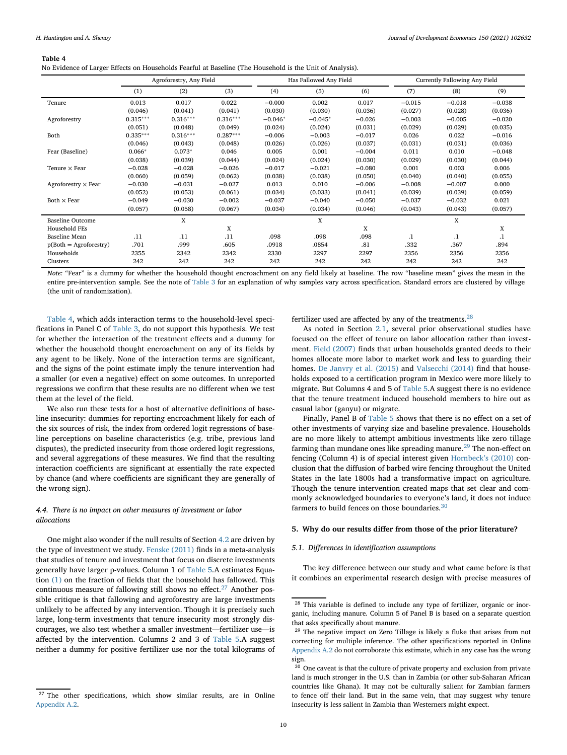No Evidence of Larger Effects on Households Fearful at Baseline (The Household is the Unit of Analysis).

<span id="page-9-0"></span>

|                            |            | Has Fallowed Any Field<br>Currently Fallowing Any Field<br>Agroforestry, Any Field |            |           |           |          |          |          |          |
|----------------------------|------------|------------------------------------------------------------------------------------|------------|-----------|-----------|----------|----------|----------|----------|
|                            | (1)        | (2)                                                                                | (3)        | (4)       | (5)       | (6)      | (7)      | (8)      | (9)      |
| Tenure                     | 0.013      | 0.017                                                                              | 0.022      | $-0.000$  | 0.002     | 0.017    | $-0.015$ | $-0.018$ | $-0.038$ |
|                            | (0.046)    | (0.041)                                                                            | (0.041)    | (0.030)   | (0.030)   | (0.036)  | (0.027)  | (0.028)  | (0.036)  |
| Agroforestry               | $0.315***$ | $0.316***$                                                                         | $0.316***$ | $-0.046*$ | $-0.045*$ | $-0.026$ | $-0.003$ | $-0.005$ | $-0.020$ |
|                            | (0.051)    | (0.048)                                                                            | (0.049)    | (0.024)   | (0.024)   | (0.031)  | (0.029)  | (0.029)  | (0.035)  |
| Both                       | $0.335***$ | $0.316***$                                                                         | $0.287***$ | $-0.006$  | $-0.003$  | $-0.017$ | 0.026    | 0.022    | $-0.016$ |
|                            | (0.046)    | (0.043)                                                                            | (0.048)    | (0.026)   | (0.026)   | (0.037)  | (0.031)  | (0.031)  | (0.036)  |
| Fear (Baseline)            | $0.066*$   | $0.073*$                                                                           | 0.046      | 0.005     | 0.001     | $-0.004$ | 0.011    | 0.010    | $-0.048$ |
|                            | (0.038)    | (0.039)                                                                            | (0.044)    | (0.024)   | (0.024)   | (0.030)  | (0.029)  | (0.030)  | (0.044)  |
| Tenure $\times$ Fear       | $-0.028$   | $-0.028$                                                                           | $-0.026$   | $-0.017$  | $-0.021$  | $-0.080$ | 0.001    | 0.003    | 0.006    |
|                            | (0.060)    | (0.059)                                                                            | (0.062)    | (0.038)   | (0.038)   | (0.050)  | (0.040)  | (0.040)  | (0.055)  |
| Agroforestry $\times$ Fear | $-0.030$   | $-0.031$                                                                           | $-0.027$   | 0.013     | 0.010     | $-0.006$ | $-0.008$ | $-0.007$ | 0.000    |
|                            | (0.052)    | (0.053)                                                                            | (0.061)    | (0.034)   | (0.033)   | (0.041)  | (0.039)  | (0.039)  | (0.059)  |
| Both $\times$ Fear         | $-0.049$   | $-0.030$                                                                           | $-0.002$   | $-0.037$  | $-0.040$  | $-0.050$ | $-0.037$ | $-0.032$ | 0.021    |
|                            | (0.057)    | (0.058)                                                                            | (0.067)    | (0.034)   | (0.034)   | (0.046)  | (0.043)  | (0.043)  | (0.057)  |
| <b>Baseline Outcome</b>    |            | X                                                                                  |            |           | X         |          |          | X        |          |
| Household FEs              |            |                                                                                    | X          |           |           | X        |          |          | X        |
| <b>Baseline Mean</b>       | .11        | .11                                                                                | .11        | .098      | .098      | .098     | $\cdot$  | $\cdot$  | $\cdot$  |
| $p(Both = Agroforestry)$   | .701       | .999                                                                               | .605       | .0918     | .0854     | .81      | .332     | .367     | .894     |
| Households                 | 2355       | 2342                                                                               | 2342       | 2330      | 2297      | 2297     | 2356     | 2356     | 2356     |
| Clusters                   | 242        | 242                                                                                | 242        | 242       | 242       | 242      | 242      | 242      | 242      |

*Note:* "Fear" is a dummy for whether the household thought encroachment on any field likely at baseline. The row "baseline mean" gives the mean in the entire pre-intervention sample. See the note of [Table 3](#page-8-0) for an explanation of why samples vary across specification. Standard errors are clustered by village (the unit of randomization).

[Table 4,](#page-9-0) which adds interaction terms to the household-level specifications in Panel C of [Table 3,](#page-8-0) do not support this hypothesis. We test for whether the interaction of the treatment effects and a dummy for whether the household thought encroachment on any of its fields by any agent to be likely. None of the interaction terms are significant, and the signs of the point estimate imply the tenure intervention had a smaller (or even a negative) effect on some outcomes. In unreported regressions we confirm that these results are no different when we test them at the level of the field.

We also run these tests for a host of alternative definitions of baseline insecurity: dummies for reporting encroachment likely for each of the six sources of risk, the index from ordered logit regressions of baseline perceptions on baseline characteristics (e.g. tribe, previous land disputes), the predicted insecurity from those ordered logit regressions, and several aggregations of these measures. We find that the resulting interaction coefficients are significant at essentially the rate expected by chance (and where coefficients are significant they are generally of the wrong sign).

# <span id="page-9-5"></span>*4.4. There is no impact on other measures of investment or labor allocations*

One might also wonder if the null results of Section [4.2](#page-6-8) are driven by the type of investment we study. [Fenske \(2011\)](#page-14-6) finds in a meta-analysis that studies of tenure and investment that focus on discrete investments generally have larger p-values. Column 1 of [Table 5.](#page-14-18)A estimates Equation [\(1\)](#page-4-10) on the fraction of fields that the household has fallowed. This continuous measure of fallowing still shows no effect.<sup>[27](#page-9-1)</sup> Another possible critique is that fallowing and agroforestry are large investments unlikely to be affected by any intervention. Though it is precisely such large, long-term investments that tenure insecurity most strongly discourages, we also test whether a smaller investment—fertilizer use—is affected by the intervention. Columns 2 and 3 of [Table 5.](#page-14-18)A suggest neither a dummy for positive fertilizer use nor the total kilograms of fertilizer used are affected by any of the treatments. $^{28}$  $^{28}$  $^{28}$ 

As noted in Section [2.1,](#page-1-1) several prior observational studies have focused on the effect of tenure on labor allocation rather than investment. [Field \(2007\)](#page-14-3) finds that urban households granted deeds to their homes allocate more labor to market work and less to guarding their homes. [De Janvry et al. \(2015\)](#page-14-5) and [Valsecchi \(2014\)](#page-14-8) find that households exposed to a certification program in Mexico were more likely to migrate. But Columns 4 and 5 of [Table 5.](#page-14-18)A suggest there is no evidence that the tenure treatment induced household members to hire out as casual labor (ganyu) or migrate.

Finally, Panel B of [Table 5](#page-10-0) shows that there is no effect on a set of other investments of varying size and baseline prevalence. Households are no more likely to attempt ambitious investments like zero tillage farming than mundane ones like spreading manure.<sup>[29](#page-9-3)</sup> The non-effect on fencing (Column 4) is of special interest given [Hornbeck's \(2010\)](#page-14-19) conclusion that the diffusion of barbed wire fencing throughout the United States in the late 1800s had a transformative impact on agriculture. Though the tenure intervention created maps that set clear and commonly acknowledged boundaries to everyone's land, it does not induce farmers to build fences on those boundaries.<sup>[30](#page-9-4)</sup>

# <span id="page-9-6"></span>**5. Why do our results differ from those of the prior literature?**

#### *5.1. Differences in identification assumptions*

The key difference between our study and what came before is that it combines an experimental research design with precise measures of

<span id="page-9-1"></span><sup>&</sup>lt;sup>27</sup> The other specifications, which show similar results, are in Online [Appendix A.2.](#page-14-18)

<span id="page-9-2"></span><sup>&</sup>lt;sup>28</sup> This variable is defined to include any type of fertilizer, organic or inorganic, including manure. Column 5 of Panel B is based on a separate question that asks specifically about manure.

<span id="page-9-3"></span><sup>29</sup> The negative impact on Zero Tillage is likely a fluke that arises from not correcting for multiple inference. The other specifications reported in Online [Appendix A.2](#page-14-18) do not corroborate this estimate, which in any case has the wrong sign.

<span id="page-9-4"></span> $^{\rm 30}$  One caveat is that the culture of private property and exclusion from private land is much stronger in the U.S. than in Zambia (or other sub-Saharan African countries like Ghana). It may not be culturally salient for Zambian farmers to fence off their land. But in the same vein, that may suggest why tenure insecurity is less salient in Zambia than Westerners might expect.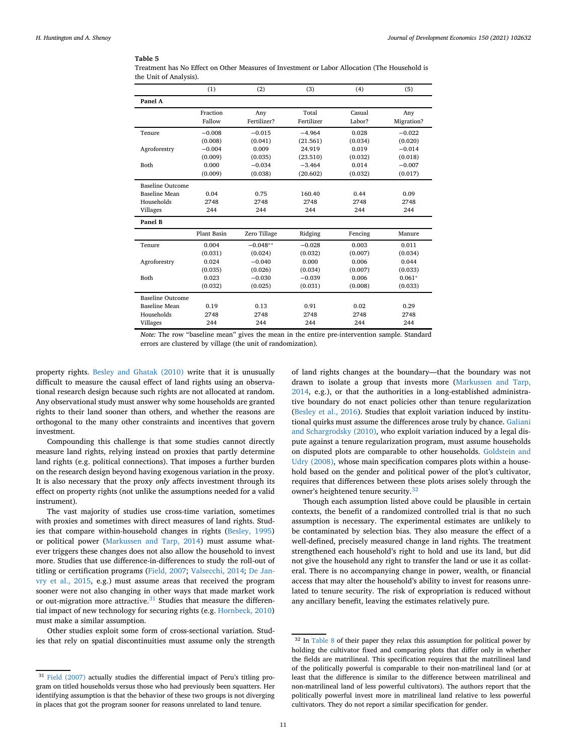<span id="page-10-0"></span>Treatment has No Effect on Other Measures of Investment or Labor Allocation (The Household is the Unit of Analysis).

|                         | (1)         | (2)          | (3)        | (4)     | (5)        |
|-------------------------|-------------|--------------|------------|---------|------------|
| Panel A                 |             |              |            |         |            |
|                         | Fraction    | Any          | Total      | Casual  | Any        |
|                         | Fallow      | Fertilizer?  | Fertilizer | Labor?  | Migration? |
| Tenure                  | $-0.008$    | $-0.015$     | $-4.964$   | 0.028   | $-0.022$   |
|                         | (0.008)     | (0.041)      | (21.561)   | (0.034) | (0.020)    |
| Agroforestry            | $-0.004$    | 0.009        | 24.919     | 0.019   | $-0.014$   |
|                         | (0.009)     | (0.035)      | (23.510)   | (0.032) | (0.018)    |
| Both                    | 0.000       | $-0.034$     | $-3.464$   | 0.014   | $-0.007$   |
|                         | (0.009)     | (0.038)      | (20.602)   | (0.032) | (0.017)    |
| <b>Baseline Outcome</b> |             |              |            |         |            |
| <b>Baseline Mean</b>    | 0.04        | 0.75         | 160.40     | 0.44    | 0.09       |
| Households              | 2748        | 2748         | 2748       | 2748    | 2748       |
| Villages                | 244         | 244          | 244        | 244     | 244        |
| Panel B                 |             |              |            |         |            |
|                         | Plant Basin | Zero Tillage | Ridging    | Fencing | Manure     |
| Tenure                  | 0.004       | $-0.048**$   | $-0.028$   | 0.003   | 0.011      |
|                         | (0.031)     | (0.024)      | (0.032)    | (0.007) | (0.034)    |
| Agroforestry            | 0.024       | $-0.040$     | 0.000      | 0.006   | 0.044      |
|                         | (0.035)     | (0.026)      | (0.034)    | (0.007) | (0.033)    |
| Both                    | 0.023       | $-0.030$     | $-0.039$   | 0.006   | $0.061*$   |
|                         | (0.032)     | (0.025)      | (0.031)    | (0.008) | (0.033)    |
| <b>Baseline Outcome</b> |             |              |            |         |            |
| Baseline Mean           | 0.19        | 0.13         | 0.91       | 0.02    | 0.29       |
| Households              | 2748        | 2748         | 2748       | 2748    | 2748       |
| Villages                | 244         | 244          | 244        | 244     | 244        |

*Note:* The row "baseline mean" gives the mean in the entire pre-intervention sample. Standard errors are clustered by village (the unit of randomization).

property rights. [Besley and Ghatak \(2010\)](#page-14-11) write that it is unusually difficult to measure the causal effect of land rights using an observational research design because such rights are not allocated at random. Any observational study must answer why some households are granted rights to their land sooner than others, and whether the reasons are orthogonal to the many other constraints and incentives that govern investment.

Compounding this challenge is that some studies cannot directly measure land rights, relying instead on proxies that partly determine land rights (e.g. political connections). That imposes a further burden on the research design beyond having exogenous variation in the proxy. It is also necessary that the proxy *only* affects investment through its effect on property rights (not unlike the assumptions needed for a valid instrument).

The vast majority of studies use cross-time variation, sometimes with proxies and sometimes with direct measures of land rights. Studies that compare within-household changes in rights [\(Besley, 1995\)](#page-14-2) or political power [\(Markussen and Tarp, 2014\)](#page-14-9) must assume whatever triggers these changes does not also allow the household to invest more. Studies that use difference-in-differences to study the roll-out of titling or certification programs [\(Field, 2007;](#page-14-3) [Valsecchi, 2014;](#page-14-8) De Jan[vry et al., 2015, e.g.\) must assume areas that received the program](#page-14-5) sooner were not also changing in other ways that made market work or out-migration more attractive. $31$  Studies that measure the differential impact of new technology for securing rights (e.g. [Hornbeck, 2010\)](#page-14-19) must make a similar assumption.

Other studies exploit some form of cross-sectional variation. Studies that rely on spatial discontinuities must assume only the strength of land rights changes at the boundary—that the boundary was not [drawn to isolate a group that invests more \(Markussen and Tarp,](#page-14-9) 2014, e.g.), or that the authorities in a long-established administrative boundary do not enact policies other than tenure regularization [\(Besley et al., 2016\)](#page-14-20). Studies that exploit variation induced by institutional quirks must assume the differences arose truly by chance. Galiani [and Schargrodsky \(2010\), who exploit variation induced by a legal dis](#page-14-21)pute against a tenure regularization program, must assume households on disputed plots are comparable to other households. Goldstein and [Udry \(2008\), whose main specification compares plots within a house](#page-14-4)hold based on the gender and political power of the plot's cultivator, requires that differences between these plots arises solely through the owner's heightened tenure security.<sup>[32](#page-10-2)</sup>

Though each assumption listed above could be plausible in certain contexts, the benefit of a randomized controlled trial is that no such assumption is necessary. The experimental estimates are unlikely to be contaminated by selection bias. They also measure the effect of a well-defined, precisely measured change in land rights. The treatment strengthened each household's right to hold and use its land, but did not give the household any right to transfer the land or use it as collateral. There is no accompanying change in power, wealth, or financial access that may alter the household's ability to invest for reasons unrelated to tenure security. The risk of expropriation is reduced without any ancillary benefit, leaving the estimates relatively pure.

<span id="page-10-1"></span><sup>&</sup>lt;sup>31</sup> [Field \(2007\)](#page-14-3) actually studies the differential impact of Peru's titling program on titled households versus those who had previously been squatters. Her identifying assumption is that the behavior of these two groups is not diverging in places that got the program sooner for reasons unrelated to land tenure.

<span id="page-10-2"></span><sup>32</sup> In [Table 8](#page-12-0) of their paper they relax this assumption for political power by holding the cultivator fixed and comparing plots that differ only in whether the fields are matrilineal. This specification requires that the matrilineal land of the politically powerful is comparable to their non-matrilineal land (or at least that the difference is similar to the difference between matrilineal and non-matrilineal land of less powerful cultivators). The authors report that the politically powerful invest more in matrilineal land relative to less powerful cultivators. They do not report a similar specification for gender.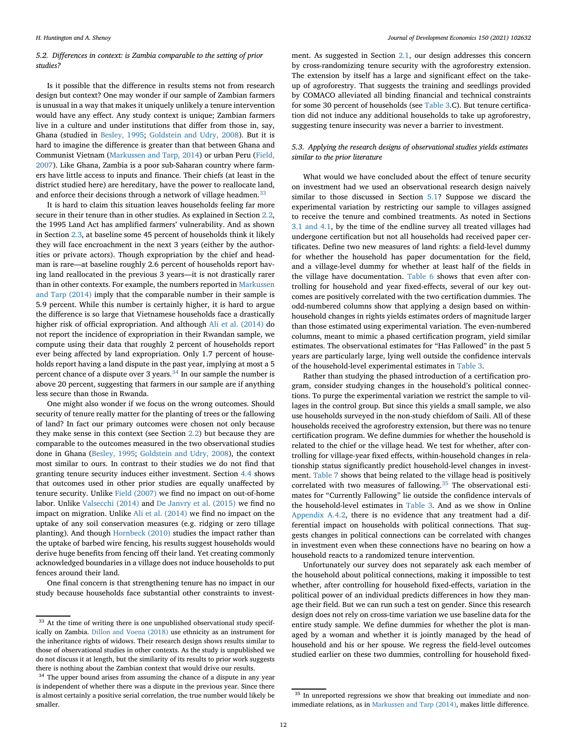# *5.2. Differences in context: is Zambia comparable to the setting of prior studies?*

Is it possible that the difference in results stems not from research design but context? One may wonder if our sample of Zambian farmers is unusual in a way that makes it uniquely unlikely a tenure intervention would have any effect. Any study context is unique; Zambian farmers live in a culture and under institutions that differ from those in, say, Ghana (studied in [Besley, 1995;](#page-14-2) [Goldstein and Udry, 2008\)](#page-14-4). But it is hard to imagine the difference is greater than that between Ghana and Communist Vietnam [\(Markussen and Tarp, 2014\)](#page-14-9) or urban Peru (Field, [2007\). Like Ghana, Zambia is a poor sub-Saharan country where farm](#page-14-3)ers have little access to inputs and finance. Their chiefs (at least in the district studied here) are hereditary, have the power to reallocate land, and enforce their decisions through a network of village headmen.<sup>[33](#page-11-0)</sup>

It is hard to claim this situation leaves households feeling far more secure in their tenure than in other studies. As explained in Section [2.2,](#page-2-3) the 1995 Land Act has amplified farmers' vulnerability. And as shown in Section [2.3,](#page-2-0) at baseline some 45 percent of households think it likely they will face encroachment in the next 3 years (either by the authorities or private actors). Though expropriation by the chief and headman is rare—at baseline roughly 2.6 percent of households report having land reallocated in the previous 3 years—it is not drastically rarer [than in other contexts. For example, the numbers reported in](#page-14-9) Markussen and Tarp (2014) imply that the comparable number in their sample is 5.9 percent. While this number is certainly higher, it is hard to argue the difference is so large that Vietnamese households face a drastically higher risk of official expropriation. And although [Ali et al. \(2014\)](#page-14-7) do not report the incidence of expropriation in their Rwandan sample, we compute using their data that roughly 2 percent of households report ever being affected by land expropriation. Only 1.7 percent of households report having a land dispute in the past year, implying at most a 5 percent chance of a dispute over 3 years.<sup>[34](#page-11-1)</sup> In our sample the number is above 20 percent, suggesting that farmers in our sample are if anything less secure than those in Rwanda.

One might also wonder if we focus on the wrong outcomes. Should security of tenure really matter for the planting of trees or the fallowing of land? In fact our primary outcomes were chosen not only because they make sense in this context (see Section [2.2\)](#page-2-3) but because they are comparable to the outcomes measured in the two observational studies done in Ghana [\(Besley, 1995;](#page-14-2) [Goldstein and Udry, 2008\)](#page-14-4), the context most similar to ours. In contrast to their studies we do not find that granting tenure security induces either investment. Section [4.4](#page-9-5) shows that outcomes used in other prior studies are equally unaffected by tenure security. Unlike [Field \(2007\)](#page-14-3) we find no impact on out-of-home labor. Unlike [Valsecchi \(2014\)](#page-14-8) and [De Janvry et al. \(2015\)](#page-14-5) we find no impact on migration. Unlike [Ali et al. \(2014\)](#page-14-7) we find no impact on the uptake of any soil conservation measures (e.g. ridging or zero tillage planting). And though [Hornbeck \(2010\)](#page-14-19) studies the impact rather than the uptake of barbed wire fencing, his results suggest households would derive huge benefits from fencing off their land. Yet creating commonly acknowledged boundaries in a village does not induce households to put fences around their land.

One final concern is that strengthening tenure has no impact in our study because households face substantial other constraints to investment. As suggested in Section [2.1,](#page-1-1) our design addresses this concern by cross-randomizing tenure security with the agroforestry extension. The extension by itself has a large and significant effect on the takeup of agroforestry. That suggests the training and seedlings provided by COMACO alleviated all binding financial and technical constraints for some 30 percent of households (see [Table 3.](#page-14-18)C). But tenure certification did not induce any additional households to take up agroforestry, suggesting tenure insecurity was never a barrier to investment.

# *5.3. Applying the research designs of observational studies yields estimates similar to the prior literature*

What would we have concluded about the effect of tenure security on investment had we used an observational research design naively similar to those discussed in Section [5.1?](#page-9-6) Suppose we discard the experimental variation by restricting our sample to villages assigned to receive the tenure and combined treatments. As noted in Sections [3.1 and 4.1,](#page-3-3) by the time of the endline survey all treated villages had undergone certification but not all households had received paper certificates. Define two new measures of land rights: a field-level dummy for whether the household has paper documentation for the field, and a village-level dummy for whether at least half of the fields in the village have documentation. [Table 6](#page-12-1) shows that even after controlling for household and year fixed-effects, several of our key outcomes are positively correlated with the two certification dummies. The odd-numbered columns show that applying a design based on withinhousehold changes in rights yields estimates orders of magnitude larger than those estimated using experimental variation. The even-numbered columns, meant to mimic a phased certification program, yield similar estimates. The observational estimates for "Has Fallowed" in the past 5 years are particularly large, lying well outside the confidence intervals of the household-level experimental estimates in [Table 3.](#page-8-0)

Rather than studying the phased introduction of a certification program, consider studying changes in the household's political connections. To purge the experimental variation we restrict the sample to villages in the control group. But since this yields a small sample, we also use households surveyed in the non-study chiefdom of Saili. All of these households received the agroforestry extension, but there was no tenure certification program. We define dummies for whether the household is related to the chief or the village head. We test for whether, after controlling for village-year fixed effects, within-household changes in relationship status significantly predict household-level changes in investment. [Table 7](#page-12-2) shows that being related to the village head is positively correlated with two measures of fallowing. $35$  The observational estimates for "Currently Fallowing" lie outside the confidence intervals of the household-level estimates in [Table 3.](#page-8-0) And as we show in Online [Appendix A.4.2,](#page-14-18) there is no evidence that any treatment had a differential impact on households with political connections. That suggests changes in political connections can be correlated with changes in investment even when these connections have no bearing on how a household reacts to a randomized tenure intervention.

Unfortunately our survey does not separately ask each member of the household about political connections, making it impossible to test whether, after controlling for household fixed-effects, variation in the political power of an individual predicts differences in how they manage their field. But we can run such a test on gender. Since this research design does not rely on cross-time variation we use baseline data for the entire study sample. We define dummies for whether the plot is managed by a woman and whether it is jointly managed by the head of household and his or her spouse. We regress the field-level outcomes studied earlier on these two dummies, controlling for household fixed-

<span id="page-11-0"></span><sup>33</sup> At the time of writing there is one unpublished observational study specifically on Zambia. [Dillon and Voena \(2018\)](#page-14-22) use ethnicity as an instrument for the inheritance rights of widows. Their research design shows results similar to those of observational studies in other contexts. As the study is unpublished we do not discuss it at length, but the similarity of its results to prior work suggests there is nothing about the Zambian context that would drive our results.

<span id="page-11-1"></span><sup>&</sup>lt;sup>34</sup> The upper bound arises from assuming the chance of a dispute in any year is independent of whether there was a dispute in the previous year. Since there is almost certainly a positive serial correlation, the true number would likely be smaller.

<span id="page-11-2"></span> $^{35}$  In unreported regressions we show that breaking out immediate and nonimmediate relations, as in [Markussen and Tarp \(2014\),](#page-14-9) makes little difference.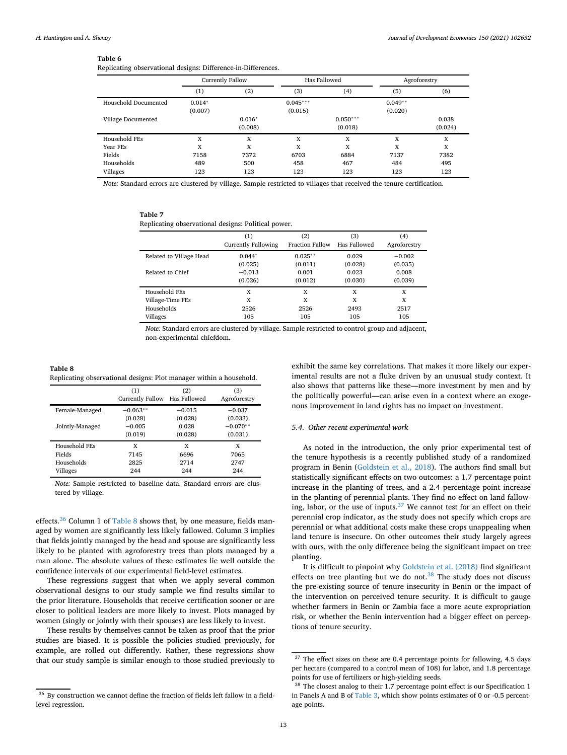Replicating observational designs: Difference-in-Differences.

<span id="page-12-1"></span>

|                      | Currently Fallow |          |            | Has Fallowed | Agroforestry |         |
|----------------------|------------------|----------|------------|--------------|--------------|---------|
|                      | (1)              | (2)      | (3)        | (4)          | (5)          | (6)     |
| Household Documented | $0.014*$         |          | $0.045***$ |              | $0.049**$    |         |
|                      | (0.007)          |          | (0.015)    |              | (0.020)      |         |
| Village Documented   |                  | $0.016*$ |            | $0.050***$   |              | 0.038   |
|                      |                  | (0.008)  |            | (0.018)      |              | (0.024) |
| Household FEs        | X                | X        | X          | X            | X            | X       |
| Year FEs             | X                | X        | X          | X            | X            | X       |
| Fields               | 7158             | 7372     | 6703       | 6884         | 7137         | 7382    |
| Households           | 489              | 500      | 458        | 467          | 484          | 495     |
| Villages             | 123              | 123      | 123        | 123          | 123          | 123     |

*Note:* Standard errors are clustered by village. Sample restricted to villages that received the tenure certification.

| anı |
|-----|
|     |

Replicating observational designs: Political power.

<span id="page-12-2"></span>

|                         | (1)<br><b>Currently Fallowing</b> | (2)<br><b>Fraction Fallow</b> | (3)<br>Has Fallowed | (4)<br>Agroforestry |
|-------------------------|-----------------------------------|-------------------------------|---------------------|---------------------|
| Related to Village Head | $0.044*$                          | $0.025**$                     | 0.029               | $-0.002$            |
|                         | (0.025)                           | (0.011)                       | (0.028)             | (0.035)             |
| Related to Chief        | $-0.013$                          | 0.001                         | 0.023               | 0.008               |
|                         | (0.026)                           | (0.012)                       | (0.030)             | (0.039)             |
| Household FEs           | X                                 | X                             | X                   | X                   |
| Village-Time FEs        | X                                 | X                             | X                   | X                   |
| Households              | 2526                              | 2526                          | 2493                | 2517                |
| Villages                | 105                               | 105                           | 105                 | 105                 |

*Note:* Standard errors are clustered by village. Sample restricted to control group and adjacent, non-experimental chiefdom.

**Table 8** Replicating observational designs: Plot manager within a household.

<span id="page-12-0"></span>

|                 | (1)<br>Currently Fallow | (2)<br>Has Fallowed | (3)<br>Agroforestry |
|-----------------|-------------------------|---------------------|---------------------|
| Female-Managed  | $-0.063**$              | $-0.015$            | $-0.037$            |
|                 | (0.028)                 | (0.028)             | (0.033)             |
| Jointly-Managed | $-0.005$                | 0.028               | $-0.070**$          |
|                 | (0.019)                 | (0.028)             | (0.031)             |
| Household FEs   | x                       | x                   | x                   |
| Fields          | 7145                    | 6696                | 7065                |
| Households      | 2825                    | 2714                | 2747                |
| Villages        | 244                     | 244                 | 244                 |

*Note:* Sample restricted to baseline data. Standard errors are clustered by village.

effects.<sup>[36](#page-12-3)</sup> Column 1 of [Table 8](#page-12-0) shows that, by one measure, fields managed by women are significantly less likely fallowed. Column 3 implies that fields jointly managed by the head and spouse are significantly less likely to be planted with agroforestry trees than plots managed by a man alone. The absolute values of these estimates lie well outside the confidence intervals of our experimental field-level estimates.

These regressions suggest that when we apply several common observational designs to our study sample we find results similar to the prior literature. Households that receive certification sooner or are closer to political leaders are more likely to invest. Plots managed by women (singly or jointly with their spouses) are less likely to invest.

These results by themselves cannot be taken as proof that the prior studies are biased. It is possible the policies studied previously, for example, are rolled out differently. Rather, these regressions show that our study sample is similar enough to those studied previously to

exhibit the same key correlations. That makes it more likely our experimental results are not a fluke driven by an unusual study context. It also shows that patterns like these—more investment by men and by the politically powerful—can arise even in a context where an exogenous improvement in land rights has no impact on investment.

# *5.4. Other recent experimental work*

As noted in the introduction, the only prior experimental test of the tenure hypothesis is a recently published study of a randomized program in Benin [\(Goldstein et al., 2018\)](#page-14-10). The authors find small but statistically significant effects on two outcomes: a 1.7 percentage point increase in the planting of trees, and a 2.4 percentage point increase in the planting of perennial plants. They find no effect on land fallowing, labor, or the use of inputs.[37](#page-12-4) We cannot test for an effect on their perennial crop indicator, as the study does not specify which crops are perennial or what additional costs make these crops unappealing when land tenure is insecure. On other outcomes their study largely agrees with ours, with the only difference being the significant impact on tree planting.

It is difficult to pinpoint why [Goldstein et al. \(2018\)](#page-14-10) find significant effects on tree planting but we do not.<sup>[38](#page-12-5)</sup> The study does not discuss the pre-existing source of tenure insecurity in Benin or the impact of the intervention on perceived tenure security. It is difficult to gauge whether farmers in Benin or Zambia face a more acute expropriation risk, or whether the Benin intervention had a bigger effect on perceptions of tenure security.

<span id="page-12-3"></span><sup>36</sup> By construction we cannot define the fraction of fields left fallow in a fieldlevel regression.

<span id="page-12-4"></span><sup>&</sup>lt;sup>37</sup> The effect sizes on these are 0.4 percentage points for fallowing, 4.5 days per hectare (compared to a control mean of 108) for labor, and 1.8 percentage points for use of fertilizers or high-yielding seeds.

<span id="page-12-5"></span><sup>&</sup>lt;sup>38</sup> The closest analog to their 1.7 percentage point effect is our Specification 1 in Panels A and B of [Table 3,](#page-8-0) which show points estimates of 0 or -0.5 percentage points.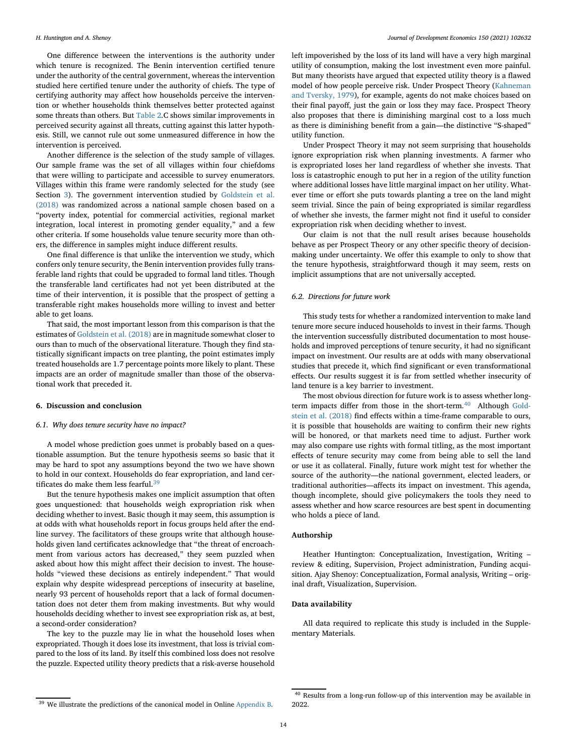One difference between the interventions is the authority under which tenure is recognized. The Benin intervention certified tenure under the authority of the central government, whereas the intervention studied here certified tenure under the authority of chiefs. The type of certifying authority may affect how households perceive the intervention or whether households think themselves better protected against some threats than others. But [Table 2.](#page-14-18)C shows similar improvements in perceived security against all threats, cutting against this latter hypothesis. Still, we cannot rule out some unmeasured difference in how the intervention is perceived.

Another difference is the selection of the study sample of villages. Our sample frame was the set of all villages within four chiefdoms that were willing to participate and accessible to survey enumerators. Villages within this frame were randomly selected for the study (see Section [3\)](#page-3-4). The government intervention studied by Goldstein et al. (2018) [was randomized across a national sample chosen based on a](#page-14-10) "poverty index, potential for commercial activities, regional market integration, local interest in promoting gender equality," and a few other criteria. If some households value tenure security more than others, the difference in samples might induce different results.

One final difference is that unlike the intervention we study, which confers only tenure security, the Benin intervention provides fully transferable land rights that could be upgraded to formal land titles. Though the transferable land certificates had not yet been distributed at the time of their intervention, it is possible that the prospect of getting a transferable right makes households more willing to invest and better able to get loans.

That said, the most important lesson from this comparison is that the estimates of [Goldstein et al. \(2018\)](#page-14-10) are in magnitude somewhat closer to ours than to much of the observational literature. Though they find statistically significant impacts on tree planting, the point estimates imply treated households are 1.7 percentage points more likely to plant. These impacts are an order of magnitude smaller than those of the observational work that preceded it.

# **6. Discussion and conclusion**

# *6.1. Why does tenure security have no impact?*

A model whose prediction goes unmet is probably based on a questionable assumption. But the tenure hypothesis seems so basic that it may be hard to spot any assumptions beyond the two we have shown to hold in our context. Households do fear expropriation, and land certificates do make them less fearful. $3<sup>9</sup>$ 

But the tenure hypothesis makes one implicit assumption that often goes unquestioned: that households weigh expropriation risk when deciding whether to invest. Basic though it may seem, this assumption is at odds with what households report in focus groups held after the endline survey. The facilitators of these groups write that although households given land certificates acknowledge that "the threat of encroachment from various actors has decreased," they seem puzzled when asked about how this might affect their decision to invest. The households "viewed these decisions as entirely independent." That would explain why despite widespread perceptions of insecurity at baseline, nearly 93 percent of households report that a lack of formal documentation does not deter them from making investments. But why would households deciding whether to invest see expropriation risk as, at best, a second-order consideration?

The key to the puzzle may lie in what the household loses when expropriated. Though it does lose its investment, that loss is trivial compared to the loss of its land. By itself this combined loss does not resolve the puzzle. Expected utility theory predicts that a risk-averse household

left impoverished by the loss of its land will have a very high marginal utility of consumption, making the lost investment even more painful. But many theorists have argued that expected utility theory is a flawed model of how people perceive risk. Under Prospect Theory (Kahneman [and Tversky, 1979\), for example, agents do not make choices based on](#page-14-23) their final payoff, just the gain or loss they may face. Prospect Theory also proposes that there is diminishing marginal cost to a loss much as there is diminishing benefit from a gain—the distinctive "S-shaped" utility function.

Under Prospect Theory it may not seem surprising that households ignore expropriation risk when planning investments. A farmer who is expropriated loses her land regardless of whether she invests. That loss is catastrophic enough to put her in a region of the utility function where additional losses have little marginal impact on her utility. Whatever time or effort she puts towards planting a tree on the land might seem trivial. Since the pain of being expropriated is similar regardless of whether she invests, the farmer might not find it useful to consider expropriation risk when deciding whether to invest.

Our claim is not that the null result arises because households behave as per Prospect Theory or any other specific theory of decisionmaking under uncertainty. We offer this example to only to show that the tenure hypothesis, straightforward though it may seem, rests on implicit assumptions that are not universally accepted.

# *6.2. Directions for future work*

This study tests for whether a randomized intervention to make land tenure more secure induced households to invest in their farms. Though the intervention successfully distributed documentation to most households and improved perceptions of tenure security, it had no significant impact on investment. Our results are at odds with many observational studies that precede it, which find significant or even transformational effects. Our results suggest it is far from settled whether insecurity of land tenure is a key barrier to investment.

The most obvious direction for future work is to assess whether long-term impacts differ from those in the short-term.<sup>[40](#page-13-1)</sup> Although Goldstein et al. (2018) [find effects within a time-frame comparable to ours,](#page-14-10) it is possible that households are waiting to confirm their new rights will be honored, or that markets need time to adjust. Further work may also compare use rights with formal titling, as the most important effects of tenure security may come from being able to sell the land or use it as collateral. Finally, future work might test for whether the source of the authority—the national government, elected leaders, or traditional authorities—affects its impact on investment. This agenda, though incomplete, should give policymakers the tools they need to assess whether and how scarce resources are best spent in documenting who holds a piece of land.

# **Authorship**

Heather Huntington: Conceptualization, Investigation, Writing – review & editing, Supervision, Project administration, Funding acquisition. Ajay Shenoy: Conceptualization, Formal analysis, Writing – original draft, Visualization, Supervision.

# **Data availability**

All data required to replicate this study is included in the Supplementary Materials.

<span id="page-13-0"></span><sup>&</sup>lt;sup>39</sup> We illustrate the predictions of the canonical model in Online [Appendix B.](#page-14-18)

<span id="page-13-1"></span><sup>40</sup> Results from a long-run follow-up of this intervention may be available in 2022.